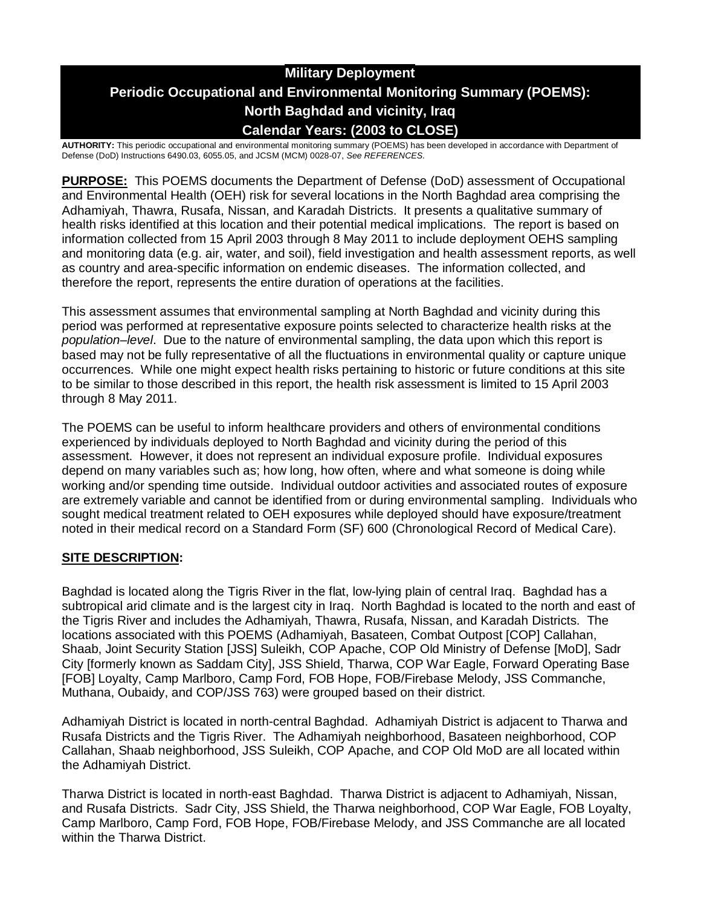# **Military Deployment Periodic Occupational and Environmental Monitoring Summary (POEMS): North Baghdad and vicinity, Iraq Calendar Years: (2003 to CLOSE)**

**AUTHORITY:** This periodic occupational and environmental monitoring summary (POEMS) has been developed in accordance with Department of Defense (DoD) Instructions 6490.03, 6055.05, and JCSM (MCM) 0028-07, *See REFERENCES.*

**PURPOSE:** This POEMS documents the Department of Defense (DoD) assessment of Occupational and Environmental Health (OEH) risk for several locations in the North Baghdad area comprising the Adhamiyah, Thawra, Rusafa, Nissan, and Karadah Districts. It presents a qualitative summary of health risks identified at this location and their potential medical implications. The report is based on information collected from 15 April 2003 through 8 May 2011 to include deployment OEHS sampling and monitoring data (e.g. air, water, and soil), field investigation and health assessment reports, as well as country and area-specific information on endemic diseases. The information collected, and therefore the report, represents the entire duration of operations at the facilities.

This assessment assumes that environmental sampling at North Baghdad and vicinity during this period was performed at representative exposure points selected to characterize health risks at the *population–level*. Due to the nature of environmental sampling, the data upon which this report is based may not be fully representative of all the fluctuations in environmental quality or capture unique occurrences. While one might expect health risks pertaining to historic or future conditions at this site to be similar to those described in this report, the health risk assessment is limited to 15 April 2003 through 8 May 2011.

The POEMS can be useful to inform healthcare providers and others of environmental conditions experienced by individuals deployed to North Baghdad and vicinity during the period of this assessment. However, it does not represent an individual exposure profile. Individual exposures depend on many variables such as; how long, how often, where and what someone is doing while working and/or spending time outside. Individual outdoor activities and associated routes of exposure are extremely variable and cannot be identified from or during environmental sampling. Individuals who sought medical treatment related to OEH exposures while deployed should have exposure/treatment noted in their medical record on a Standard Form (SF) 600 (Chronological Record of Medical Care).

### **SITE DESCRIPTION:**

Baghdad is located along the Tigris River in the flat, low-lying plain of central Iraq. Baghdad has a subtropical arid climate and is the largest city in Iraq. North Baghdad is located to the north and east of the Tigris River and includes the Adhamiyah, Thawra, Rusafa, Nissan, and Karadah Districts. The locations associated with this POEMS (Adhamiyah, Basateen, Combat Outpost [COP] Callahan, Shaab, Joint Security Station [JSS] Suleikh, COP Apache, COP Old Ministry of Defense [MoD], Sadr City [formerly known as Saddam City], JSS Shield, Tharwa, COP War Eagle, Forward Operating Base [FOB] Loyalty, Camp Marlboro, Camp Ford, FOB Hope, FOB/Firebase Melody, JSS Commanche, Muthana, Oubaidy, and COP/JSS 763) were grouped based on their district.

Adhamiyah District is located in north-central Baghdad. Adhamiyah District is adjacent to Tharwa and Rusafa Districts and the Tigris River. The Adhamiyah neighborhood, Basateen neighborhood, COP Callahan, Shaab neighborhood, JSS Suleikh, COP Apache, and COP Old MoD are all located within the Adhamiyah District.

Tharwa District is located in north-east Baghdad. Tharwa District is adjacent to Adhamiyah, Nissan, and Rusafa Districts. Sadr City, JSS Shield, the Tharwa neighborhood, COP War Eagle, FOB Loyalty, Camp Marlboro, Camp Ford, FOB Hope, FOB/Firebase Melody, and JSS Commanche are all located within the Tharwa District.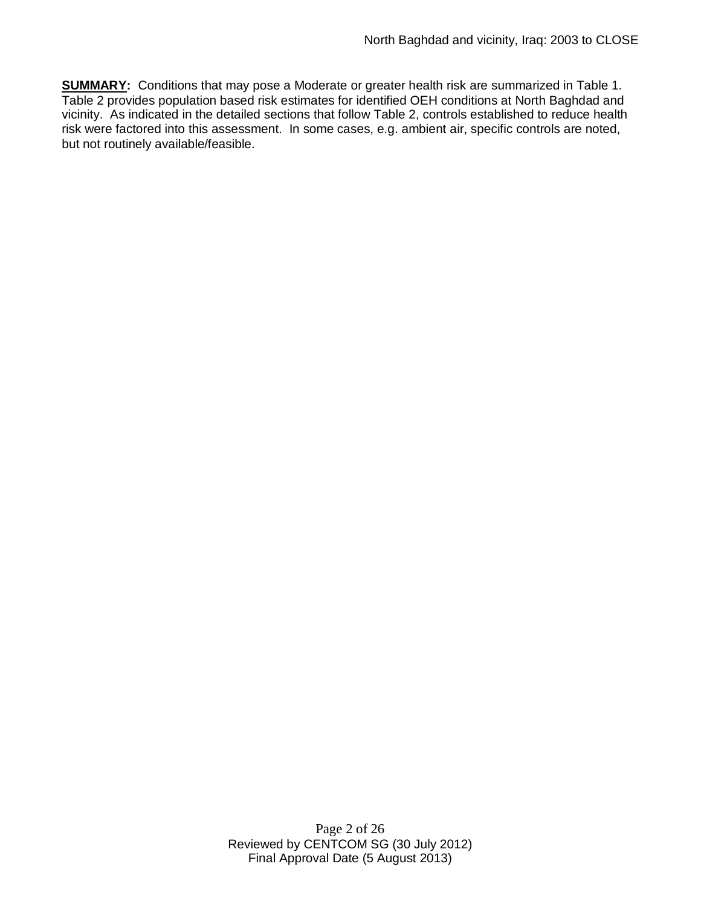**SUMMARY:** Conditions that may pose a Moderate or greater health risk are summarized in Table 1. Table 2 provides population based risk estimates for identified OEH conditions at North Baghdad and vicinity. As indicated in the detailed sections that follow Table 2, controls established to reduce health risk were factored into this assessment. In some cases, e.g. ambient air, specific controls are noted, but not routinely available/feasible.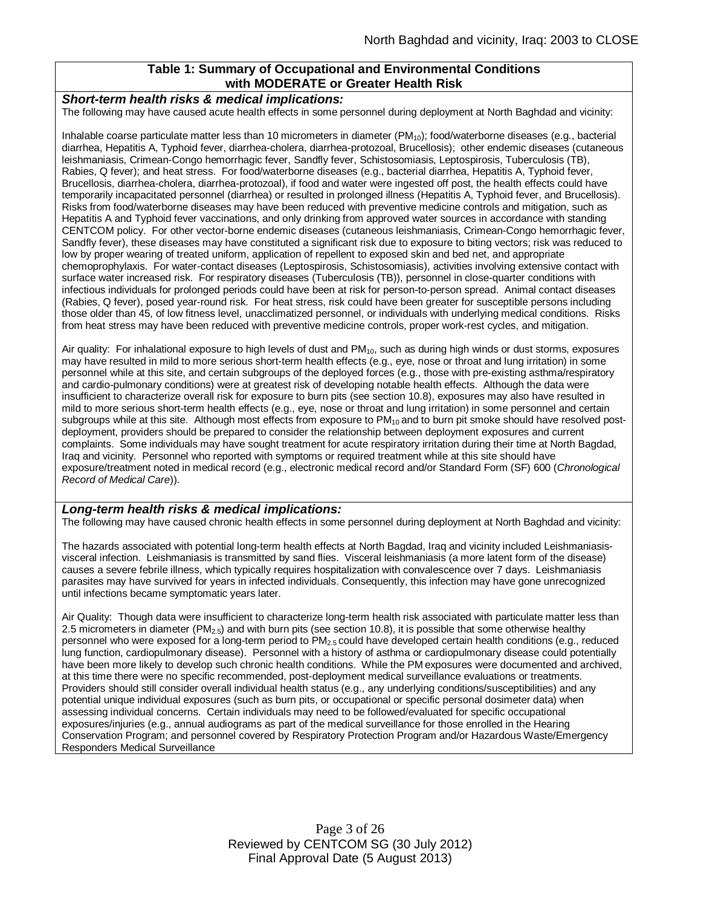### **Table 1: Summary of Occupational and Environmental Conditions with MODERATE or Greater Health Risk**

#### *Short-term health risks & medical implications:*

The following may have caused acute health effects in some personnel during deployment at North Baghdad and vicinity:

Inhalable coarse particulate matter less than 10 micrometers in diameter  $(PM_{10})$ ; food/waterborne diseases (e.g., bacterial diarrhea, Hepatitis A, Typhoid fever, diarrhea-cholera, diarrhea-protozoal, Brucellosis); other endemic diseases (cutaneous leishmaniasis, Crimean-Congo hemorrhagic fever, Sandfly fever, Schistosomiasis, Leptospirosis, Tuberculosis (TB), Rabies, Q fever); and heat stress. For food/waterborne diseases (e.g., bacterial diarrhea, Hepatitis A, Typhoid fever, Brucellosis, diarrhea-cholera, diarrhea-protozoal), if food and water were ingested off post, the health effects could have temporarily incapacitated personnel (diarrhea) or resulted in prolonged illness (Hepatitis A, Typhoid fever, and Brucellosis). Risks from food/waterborne diseases may have been reduced with preventive medicine controls and mitigation, such as Hepatitis A and Typhoid fever vaccinations, and only drinking from approved water sources in accordance with standing CENTCOM policy. For other vector-borne endemic diseases (cutaneous leishmaniasis, Crimean-Congo hemorrhagic fever, Sandfly fever), these diseases may have constituted a significant risk due to exposure to biting vectors; risk was reduced to low by proper wearing of treated uniform, application of repellent to exposed skin and bed net, and appropriate chemoprophylaxis. For water-contact diseases (Leptospirosis, Schistosomiasis), activities involving extensive contact with surface water increased risk. For respiratory diseases (Tuberculosis (TB)), personnel in close-quarter conditions with infectious individuals for prolonged periods could have been at risk for person-to-person spread. Animal contact diseases (Rabies, Q fever), posed year-round risk. For heat stress, risk could have been greater for susceptible persons including those older than 45, of low fitness level, unacclimatized personnel, or individuals with underlying medical conditions. Risks from heat stress may have been reduced with preventive medicine controls, proper work-rest cycles, and mitigation.

Air quality: For inhalational exposure to high levels of dust and  $PM_{10}$ , such as during high winds or dust storms, exposures may have resulted in mild to more serious short-term health effects (e.g., eye, nose or throat and lung irritation) in some personnel while at this site, and certain subgroups of the deployed forces (e.g., those with pre-existing asthma/respiratory and cardio-pulmonary conditions) were at greatest risk of developing notable health effects. Although the data were insufficient to characterize overall risk for exposure to burn pits (see section 10.8), exposures may also have resulted in mild to more serious short-term health effects (e.g., eye, nose or throat and lung irritation) in some personnel and certain subgroups while at this site. Although most effects from exposure to PM<sub>10</sub> and to burn pit smoke should have resolved postdeployment, providers should be prepared to consider the relationship between deployment exposures and current complaints. Some individuals may have sought treatment for acute respiratory irritation during their time at North Bagdad, Iraq and vicinity. Personnel who reported with symptoms or required treatment while at this site should have exposure/treatment noted in medical record (e.g., electronic medical record and/or Standard Form (SF) 600 (*Chronological Record of Medical Care*)).

#### *Long-term health risks & medical implications:*

The following may have caused chronic health effects in some personnel during deployment at North Baghdad and vicinity:

The hazards associated with potential long-term health effects at North Bagdad, Iraq and vicinity included Leishmaniasisvisceral infection. Leishmaniasis is transmitted by sand flies. Visceral leishmaniasis (a more latent form of the disease) causes a severe febrile illness, which typically requires hospitalization with convalescence over 7 days. Leishmaniasis parasites may have survived for years in infected individuals. Consequently, this infection may have gone unrecognized until infections became symptomatic years later.

Air Quality: Though data were insufficient to characterize long-term health risk associated with particulate matter less than 2.5 micrometers in diameter ( $PM_{2.5}$ ) and with burn pits (see section 10.8), it is possible that some otherwise healthy personnel who were exposed for a long-term period to PM2.5 could have developed certain health conditions (e.g., reduced lung function, cardiopulmonary disease). Personnel with a history of asthma or cardiopulmonary disease could potentially have been more likely to develop such chronic health conditions. While the PM exposures were documented and archived, at this time there were no specific recommended, post-deployment medical surveillance evaluations or treatments. Providers should still consider overall individual health status (e.g., any underlying conditions/susceptibilities) and any potential unique individual exposures (such as burn pits, or occupational or specific personal dosimeter data) when assessing individual concerns. Certain individuals may need to be followed/evaluated for specific occupational exposures/injuries (e.g., annual audiograms as part of the medical surveillance for those enrolled in the Hearing Conservation Program; and personnel covered by Respiratory Protection Program and/or Hazardous Waste/Emergency Responders Medical Surveillance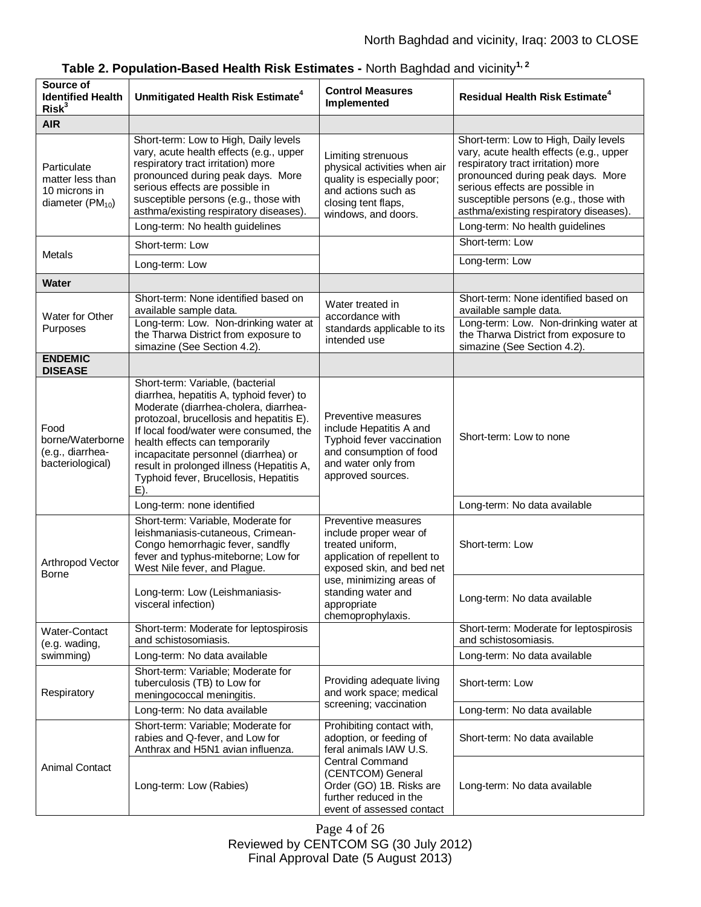| Source of<br><b>Identified Health</b><br>Risk <sup>3</sup>                       | Unmitigated Health Risk Estimate <sup>4</sup>                                                                                                                                                                                                                                                                                                                                      | <b>Control Measures</b><br>Implemented                                                                                                                 | <b>Residual Health Risk Estimate<sup>4</sup></b>                                                                                                                                                                                                                                                                     |
|----------------------------------------------------------------------------------|------------------------------------------------------------------------------------------------------------------------------------------------------------------------------------------------------------------------------------------------------------------------------------------------------------------------------------------------------------------------------------|--------------------------------------------------------------------------------------------------------------------------------------------------------|----------------------------------------------------------------------------------------------------------------------------------------------------------------------------------------------------------------------------------------------------------------------------------------------------------------------|
| <b>AIR</b>                                                                       |                                                                                                                                                                                                                                                                                                                                                                                    |                                                                                                                                                        |                                                                                                                                                                                                                                                                                                                      |
| Particulate<br>matter less than<br>10 microns in<br>diameter (PM <sub>10</sub> ) | Short-term: Low to High, Daily levels<br>vary, acute health effects (e.g., upper<br>respiratory tract irritation) more<br>pronounced during peak days. More<br>serious effects are possible in<br>susceptible persons (e.g., those with<br>asthma/existing respiratory diseases).<br>Long-term: No health guidelines                                                               | Limiting strenuous<br>physical activities when air<br>quality is especially poor;<br>and actions such as<br>closing tent flaps,<br>windows, and doors. | Short-term: Low to High, Daily levels<br>vary, acute health effects (e.g., upper<br>respiratory tract irritation) more<br>pronounced during peak days. More<br>serious effects are possible in<br>susceptible persons (e.g., those with<br>asthma/existing respiratory diseases).<br>Long-term: No health guidelines |
| <b>Metals</b>                                                                    | Short-term: Low                                                                                                                                                                                                                                                                                                                                                                    |                                                                                                                                                        | Short-term: Low                                                                                                                                                                                                                                                                                                      |
|                                                                                  | Long-term: Low                                                                                                                                                                                                                                                                                                                                                                     |                                                                                                                                                        | Long-term: Low                                                                                                                                                                                                                                                                                                       |
| <b>Water</b>                                                                     |                                                                                                                                                                                                                                                                                                                                                                                    |                                                                                                                                                        |                                                                                                                                                                                                                                                                                                                      |
| Water for Other<br>Purposes                                                      | Short-term: None identified based on<br>available sample data.<br>Long-term: Low. Non-drinking water at<br>the Tharwa District from exposure to<br>simazine (See Section 4.2).                                                                                                                                                                                                     | Water treated in<br>accordance with<br>standards applicable to its<br>intended use                                                                     | Short-term: None identified based on<br>available sample data.<br>Long-term: Low. Non-drinking water at<br>the Tharwa District from exposure to<br>simazine (See Section 4.2).                                                                                                                                       |
| <b>ENDEMIC</b><br><b>DISEASE</b>                                                 |                                                                                                                                                                                                                                                                                                                                                                                    |                                                                                                                                                        |                                                                                                                                                                                                                                                                                                                      |
| Food<br>borne/Waterborne<br>(e.g., diarrhea-<br>bacteriological)                 | Short-term: Variable, (bacterial<br>diarrhea, hepatitis A, typhoid fever) to<br>Moderate (diarrhea-cholera, diarrhea-<br>protozoal, brucellosis and hepatitis E).<br>If local food/water were consumed, the<br>health effects can temporarily<br>incapacitate personnel (diarrhea) or<br>result in prolonged illness (Hepatitis A,<br>Typhoid fever, Brucellosis, Hepatitis<br>E). | Preventive measures<br>include Hepatitis A and<br>Typhoid fever vaccination<br>and consumption of food<br>and water only from<br>approved sources.     | Short-term: Low to none                                                                                                                                                                                                                                                                                              |
|                                                                                  | Long-term: none identified                                                                                                                                                                                                                                                                                                                                                         |                                                                                                                                                        | Long-term: No data available                                                                                                                                                                                                                                                                                         |
| Arthropod Vector<br><b>Borne</b>                                                 | Short-term: Variable, Moderate for<br>leishmaniasis-cutaneous, Crimean-<br>Congo hemorrhagic fever, sandfly<br>fever and typhus-miteborne; Low for<br>West Nile fever, and Plague.                                                                                                                                                                                                 | Preventive measures<br>include proper wear of<br>treated uniform,<br>application of repellent to<br>exposed skin, and bed net                          | Short-term: Low                                                                                                                                                                                                                                                                                                      |
|                                                                                  | Long-term: Low (Leishmaniasis-<br>visceral infection)                                                                                                                                                                                                                                                                                                                              | use, minimizing areas of<br>standing water and<br>appropriate<br>chemoprophylaxis.                                                                     | Long-term: No data available                                                                                                                                                                                                                                                                                         |
| Water-Contact<br>(e.g. wading,<br>swimming)                                      | Short-term: Moderate for leptospirosis<br>and schistosomiasis.                                                                                                                                                                                                                                                                                                                     |                                                                                                                                                        | Short-term: Moderate for leptospirosis<br>and schistosomiasis.                                                                                                                                                                                                                                                       |
|                                                                                  | Long-term: No data available                                                                                                                                                                                                                                                                                                                                                       |                                                                                                                                                        | Long-term: No data available                                                                                                                                                                                                                                                                                         |
| Respiratory                                                                      | Short-term: Variable; Moderate for<br>tuberculosis (TB) to Low for<br>meningococcal meningitis.                                                                                                                                                                                                                                                                                    | Providing adequate living<br>and work space; medical                                                                                                   | Short-term: Low                                                                                                                                                                                                                                                                                                      |
|                                                                                  | Long-term: No data available                                                                                                                                                                                                                                                                                                                                                       | screening; vaccination                                                                                                                                 | Long-term: No data available                                                                                                                                                                                                                                                                                         |
| <b>Animal Contact</b>                                                            | Short-term: Variable; Moderate for<br>rabies and Q-fever, and Low for<br>Anthrax and H5N1 avian influenza.                                                                                                                                                                                                                                                                         | Prohibiting contact with,<br>adoption, or feeding of<br>feral animals IAW U.S.                                                                         | Short-term: No data available                                                                                                                                                                                                                                                                                        |
|                                                                                  | Long-term: Low (Rabies)                                                                                                                                                                                                                                                                                                                                                            | <b>Central Command</b><br>(CENTCOM) General<br>Order (GO) 1B. Risks are<br>further reduced in the<br>event of assessed contact                         | Long-term: No data available                                                                                                                                                                                                                                                                                         |

|  |  | Table 2. Population-Based Health Risk Estimates - North Baghdad and vicinity <sup>1,2</sup> |  |  |  |  |  |
|--|--|---------------------------------------------------------------------------------------------|--|--|--|--|--|
|--|--|---------------------------------------------------------------------------------------------|--|--|--|--|--|

Page 4 of 26 Reviewed by CENTCOM SG (30 July 2012) Final Approval Date (5 August 2013)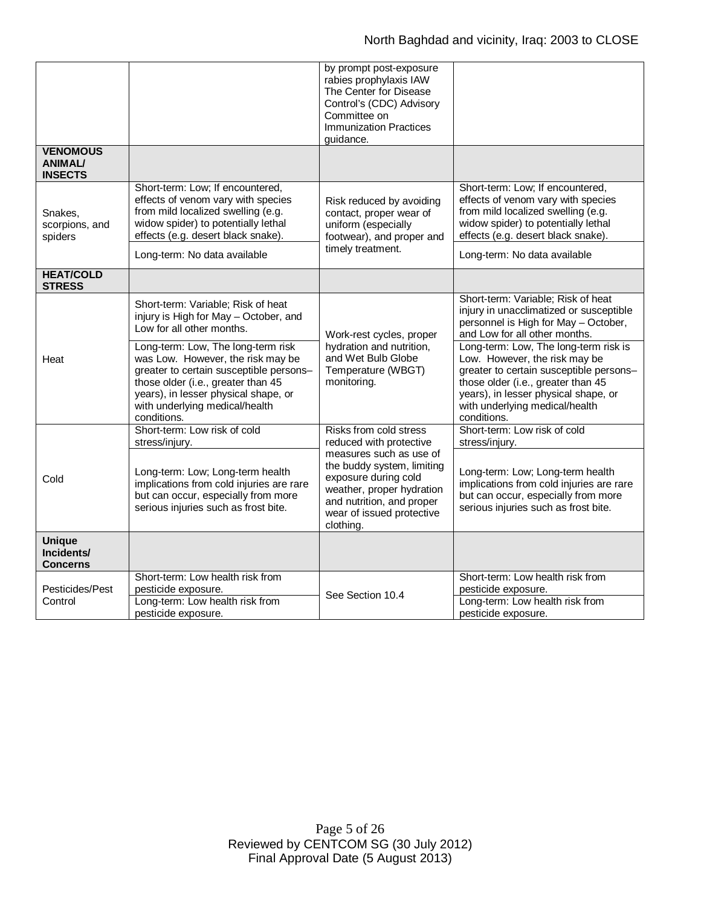| <b>VENOMOUS</b>                                |                                                                                                                                                                                                                                                                                                                                                               | by prompt post-exposure<br>rabies prophylaxis IAW<br>The Center for Disease<br>Control's (CDC) Advisory<br>Committee on<br><b>Immunization Practices</b><br>guidance.                                                                  |                                                                                                                                                                                                                                                                                                                                                                                                            |
|------------------------------------------------|---------------------------------------------------------------------------------------------------------------------------------------------------------------------------------------------------------------------------------------------------------------------------------------------------------------------------------------------------------------|----------------------------------------------------------------------------------------------------------------------------------------------------------------------------------------------------------------------------------------|------------------------------------------------------------------------------------------------------------------------------------------------------------------------------------------------------------------------------------------------------------------------------------------------------------------------------------------------------------------------------------------------------------|
| <b>ANIMAL/</b><br><b>INSECTS</b>               |                                                                                                                                                                                                                                                                                                                                                               |                                                                                                                                                                                                                                        |                                                                                                                                                                                                                                                                                                                                                                                                            |
| Snakes,<br>scorpions, and<br>spiders           | Short-term: Low; If encountered,<br>effects of venom vary with species<br>from mild localized swelling (e.g.<br>widow spider) to potentially lethal<br>effects (e.g. desert black snake).                                                                                                                                                                     | Risk reduced by avoiding<br>contact, proper wear of<br>uniform (especially<br>footwear), and proper and<br>timely treatment.                                                                                                           | Short-term: Low; If encountered,<br>effects of venom vary with species<br>from mild localized swelling (e.g.<br>widow spider) to potentially lethal<br>effects (e.g. desert black snake).                                                                                                                                                                                                                  |
|                                                | Long-term: No data available                                                                                                                                                                                                                                                                                                                                  |                                                                                                                                                                                                                                        | Long-term: No data available                                                                                                                                                                                                                                                                                                                                                                               |
| <b>HEAT/COLD</b><br><b>STRESS</b>              |                                                                                                                                                                                                                                                                                                                                                               |                                                                                                                                                                                                                                        |                                                                                                                                                                                                                                                                                                                                                                                                            |
| Heat                                           | Short-term: Variable; Risk of heat<br>injury is High for May - October, and<br>Low for all other months.<br>Long-term: Low, The long-term risk<br>was Low. However, the risk may be<br>greater to certain susceptible persons-<br>those older (i.e., greater than 45<br>years), in lesser physical shape, or<br>with underlying medical/health<br>conditions. | Work-rest cycles, proper<br>hydration and nutrition,<br>and Wet Bulb Globe<br>Temperature (WBGT)<br>monitoring.                                                                                                                        | Short-term: Variable; Risk of heat<br>injury in unacclimatized or susceptible<br>personnel is High for May - October,<br>and Low for all other months.<br>Long-term: Low, The long-term risk is<br>Low. However, the risk may be<br>greater to certain susceptible persons-<br>those older (i.e., greater than 45<br>years), in lesser physical shape, or<br>with underlying medical/health<br>conditions. |
| Cold                                           | Short-term: Low risk of cold<br>stress/injury.<br>Long-term: Low; Long-term health<br>implications from cold injuries are rare<br>but can occur, especially from more<br>serious injuries such as frost bite.                                                                                                                                                 | Risks from cold stress<br>reduced with protective<br>measures such as use of<br>the buddy system, limiting<br>exposure during cold<br>weather, proper hydration<br>and nutrition, and proper<br>wear of issued protective<br>clothing. | Short-term: Low risk of cold<br>stress/injury.<br>Long-term: Low; Long-term health<br>implications from cold injuries are rare<br>but can occur, especially from more<br>serious injuries such as frost bite.                                                                                                                                                                                              |
| <b>Unique</b><br>Incidents/<br><b>Concerns</b> |                                                                                                                                                                                                                                                                                                                                                               |                                                                                                                                                                                                                                        |                                                                                                                                                                                                                                                                                                                                                                                                            |
| Pesticides/Pest<br>Control                     | Short-term: Low health risk from<br>pesticide exposure.<br>Long-term: Low health risk from<br>pesticide exposure.                                                                                                                                                                                                                                             | See Section 10.4                                                                                                                                                                                                                       | Short-term: Low health risk from<br>pesticide exposure.<br>Long-term: Low health risk from<br>pesticide exposure.                                                                                                                                                                                                                                                                                          |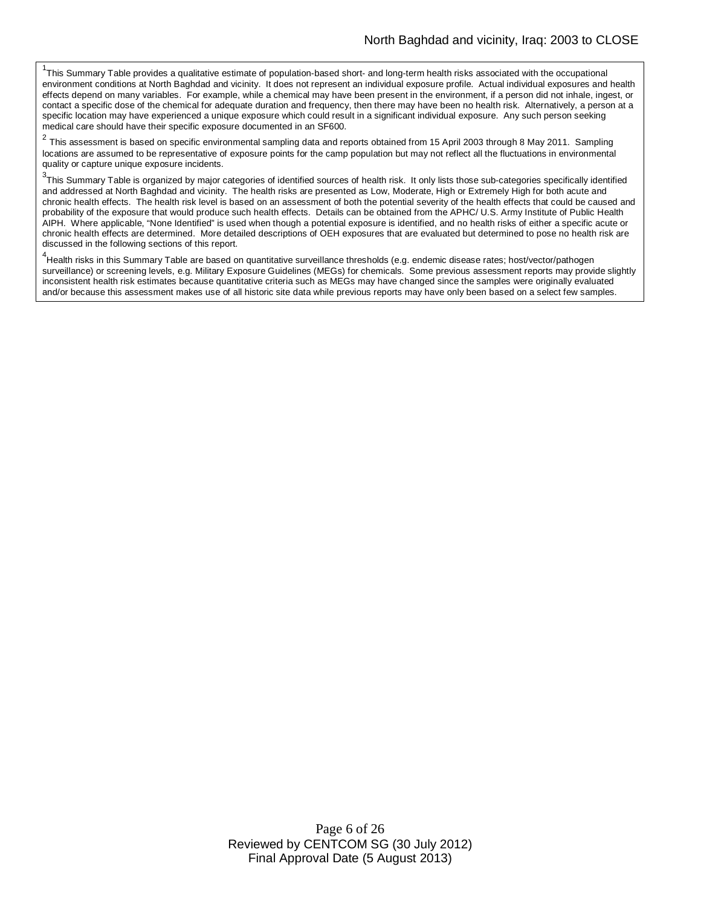<sup>1</sup>This Summary Table provides a qualitative estimate of population-based short- and long-term health risks associated with the occupational environment conditions at North Baghdad and vicinity. It does not represent an individual exposure profile. Actual individual exposures and health effects depend on many variables. For example, while a chemical may have been present in the environment, if a person did not inhale, ingest, or contact a specific dose of the chemical for adequate duration and frequency, then there may have been no health risk. Alternatively, a person at a specific location may have experienced a unique exposure which could result in a significant individual exposure. Any such person seeking medical care should have their specific exposure documented in an SF600.

2 This assessment is based on specific environmental sampling data and reports obtained from 15 April 2003 through 8 May 2011. Sampling locations are assumed to be representative of exposure points for the camp population but may not reflect all the fluctuations in environmental quality or capture unique exposure incidents.

<sup>3</sup>This Summary Table is organized by major categories of identified sources of health risk. It only lists those sub-categories specifically identified and addressed at North Baghdad and vicinity. The health risks are presented as Low, Moderate, High or Extremely High for both acute and chronic health effects. The health risk level is based on an assessment of both the potential severity of the health effects that could be caused and probability of the exposure that would produce such health effects. Details can be obtained from the APHC/ U.S. Army Institute of Public Health AIPH. Where applicable, "None Identified" is used when though a potential exposure is identified, and no health risks of either a specific acute or chronic health effects are determined. More detailed descriptions of OEH exposures that are evaluated but determined to pose no health risk are discussed in the following sections of this report.

<sup>4</sup>Health risks in this Summary Table are based on quantitative surveillance thresholds (e.g. endemic disease rates; host/vector/pathogen surveillance) or screening levels, e.g. Military Exposure Guidelines (MEGs) for chemicals*.* Some previous assessment reports may provide slightly inconsistent health risk estimates because quantitative criteria such as MEGs may have changed since the samples were originally evaluated and/or because this assessment makes use of all historic site data while previous reports may have only been based on a select few samples.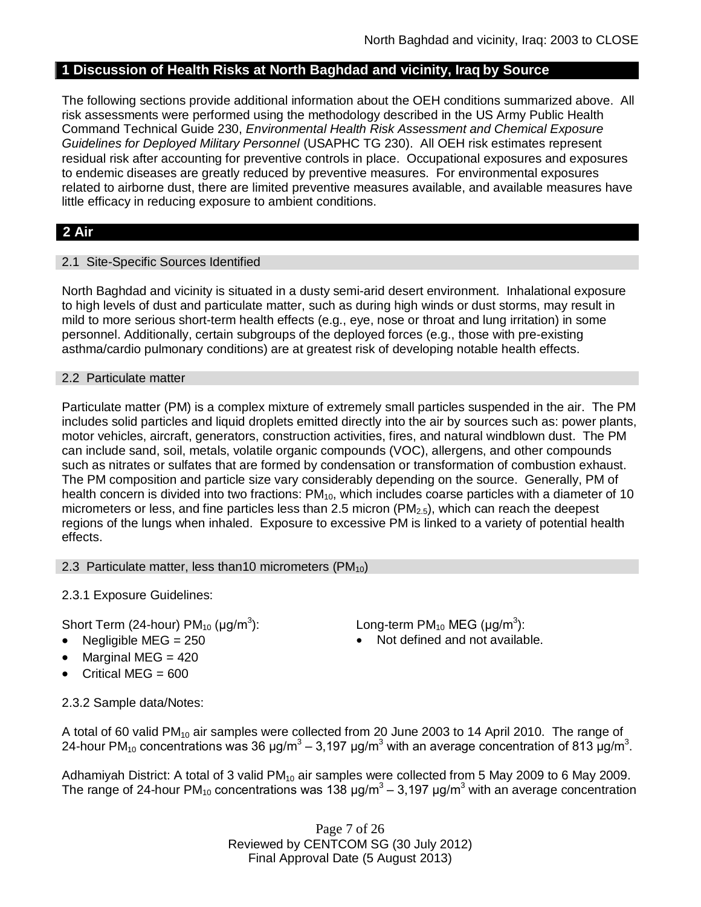# **1 Discussion of Health Risks at North Baghdad and vicinity, Iraq by Source**

The following sections provide additional information about the OEH conditions summarized above. All risk assessments were performed using the methodology described in the US Army Public Health Command Technical Guide 230, *Environmental Health Risk Assessment and Chemical Exposure Guidelines for Deployed Military Personnel* (USAPHC TG 230). All OEH risk estimates represent residual risk after accounting for preventive controls in place. Occupational exposures and exposures to endemic diseases are greatly reduced by preventive measures. For environmental exposures related to airborne dust, there are limited preventive measures available, and available measures have little efficacy in reducing exposure to ambient conditions.

# **2 Air**

### 2.1 Site-Specific Sources Identified

North Baghdad and vicinity is situated in a dusty semi-arid desert environment. Inhalational exposure to high levels of dust and particulate matter, such as during high winds or dust storms, may result in mild to more serious short-term health effects (e.g., eye, nose or throat and lung irritation) in some personnel. Additionally, certain subgroups of the deployed forces (e.g., those with pre-existing asthma/cardio pulmonary conditions) are at greatest risk of developing notable health effects.

#### 2.2 Particulate matter

Particulate matter (PM) is a complex mixture of extremely small particles suspended in the air. The PM includes solid particles and liquid droplets emitted directly into the air by sources such as: power plants, motor vehicles, aircraft, generators, construction activities, fires, and natural windblown dust. The PM can include sand, soil, metals, volatile organic compounds (VOC), allergens, and other compounds such as nitrates or sulfates that are formed by condensation or transformation of combustion exhaust. The PM composition and particle size vary considerably depending on the source. Generally, PM of health concern is divided into two fractions:  $PM_{10}$ , which includes coarse particles with a diameter of 10 micrometers or less, and fine particles less than 2.5 micron ( $PM<sub>2.5</sub>$ ), which can reach the deepest regions of the lungs when inhaled. Exposure to excessive PM is linked to a variety of potential health effects.

#### 2.3 Particulate matter, less than10 micrometers  $(PM_{10})$

2.3.1 Exposure Guidelines:

Short Term (24-hour) PM $_{10}$  (µg/m $^3$ 

- 
- Marginal MEG = 420
- Critical MEG =  $600$

): Long-term PM<sub>10</sub> MEG ( $\mu$ g/m<sup>3</sup>):

Negligible  $MEG = 250$  Not defined and not available.

2.3.2 Sample data/Notes:

A total of 60 valid PM<sub>10</sub> air samples were collected from 20 June 2003 to 14 April 2010. The range of 24-hour PM<sub>10</sub> concentrations was 36 μg/m<sup>3</sup> – 3,197 μg/m<sup>3</sup> with an average concentration of 813 μg/m<sup>3</sup>.

Adhamiyah District: A total of 3 valid PM<sub>10</sub> air samples were collected from 5 May 2009 to 6 May 2009. The range of 24-hour PM<sub>10</sub> concentrations was 138  $\mu$ g/m<sup>3</sup> – 3,197  $\mu$ g/m<sup>3</sup> with an average concentration

> Page 7 of 26 Reviewed by CENTCOM SG (30 July 2012) Final Approval Date (5 August 2013)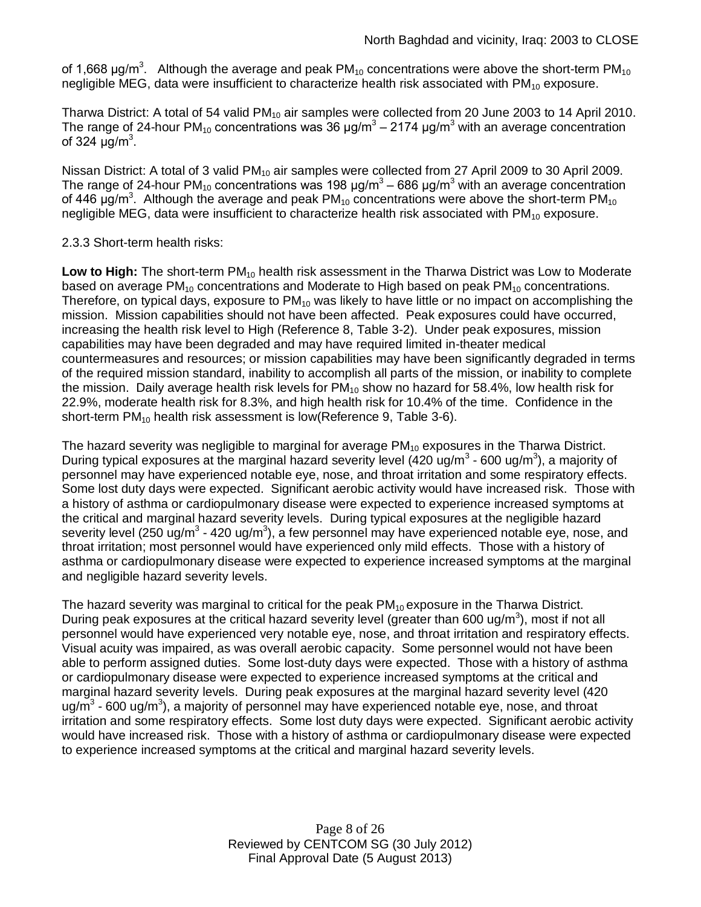of 1,668 μg/m<sup>3</sup>. Although the average and peak PM<sub>10</sub> concentrations were above the short-term PM<sub>10</sub> negligible MEG, data were insufficient to characterize health risk associated with  $PM_{10}$  exposure.

Tharwa District: A total of 54 valid  $PM_{10}$  air samples were collected from 20 June 2003 to 14 April 2010. The range of 24-hour PM<sub>10</sub> concentrations was 36 μg/m<sup>3</sup> – 2174 μg/m<sup>3</sup> with an average concentration of 324  $\mu$ g/m<sup>3</sup>.

Nissan District: A total of 3 valid PM<sub>10</sub> air samples were collected from 27 April 2009 to 30 April 2009. The range of 24-hour PM<sub>10</sub> concentrations was 198 μg/m<sup>3</sup> – 686 μg/m<sup>3</sup> with an average concentration of 446  $\mu$ g/m<sup>3</sup>. Although the average and peak PM<sub>10</sub> concentrations were above the short-term PM<sub>10</sub> negligible MEG, data were insufficient to characterize health risk associated with  $PM_{10}$  exposure.

### 2.3.3 Short-term health risks:

Low to High: The short-term PM<sub>10</sub> health risk assessment in the Tharwa District was Low to Moderate based on average  $PM_{10}$  concentrations and Moderate to High based on peak  $PM_{10}$  concentrations. Therefore, on typical days, exposure to  $PM_{10}$  was likely to have little or no impact on accomplishing the mission. Mission capabilities should not have been affected. Peak exposures could have occurred, increasing the health risk level to High (Reference 8, Table 3-2). Under peak exposures, mission capabilities may have been degraded and may have required limited in-theater medical countermeasures and resources; or mission capabilities may have been significantly degraded in terms of the required mission standard, inability to accomplish all parts of the mission, or inability to complete the mission. Daily average health risk levels for  $PM_{10}$  show no hazard for 58.4%, low health risk for 22.9%, moderate health risk for 8.3%, and high health risk for 10.4% of the time. Confidence in the short-term PM<sub>10</sub> health risk assessment is low(Reference 9, Table 3-6).

The hazard severity was negligible to marginal for average  $PM_{10}$  exposures in the Tharwa District. During typical exposures at the marginal hazard severity level (420 ug/m<sup>3</sup> - 600 ug/m<sup>3</sup>), a majority of personnel may have experienced notable eye, nose, and throat irritation and some respiratory effects. Some lost duty days were expected. Significant aerobic activity would have increased risk. Those with a history of asthma or cardiopulmonary disease were expected to experience increased symptoms at the critical and marginal hazard severity levels. During typical exposures at the negligible hazard severity level (250 ug/m<sup>3</sup> - 420 ug/m<sup>3</sup>), a few personnel may have experienced notable eye, nose, and throat irritation; most personnel would have experienced only mild effects. Those with a history of asthma or cardiopulmonary disease were expected to experience increased symptoms at the marginal and negligible hazard severity levels.

The hazard severity was marginal to critical for the peak  $PM_{10}$  exposure in the Tharwa District. During peak exposures at the critical hazard severity level (greater than 600 ug/m<sup>3</sup>), most if not all personnel would have experienced very notable eye, nose, and throat irritation and respiratory effects. Visual acuity was impaired, as was overall aerobic capacity. Some personnel would not have been able to perform assigned duties. Some lost-duty days were expected. Those with a history of asthma or cardiopulmonary disease were expected to experience increased symptoms at the critical and marginal hazard severity levels. During peak exposures at the marginal hazard severity level (420 ug/m<sup>3</sup> - 600 ug/m<sup>3</sup>), a majority of personnel may have experienced notable eye, nose, and throat irritation and some respiratory effects. Some lost duty days were expected. Significant aerobic activity would have increased risk. Those with a history of asthma or cardiopulmonary disease were expected to experience increased symptoms at the critical and marginal hazard severity levels.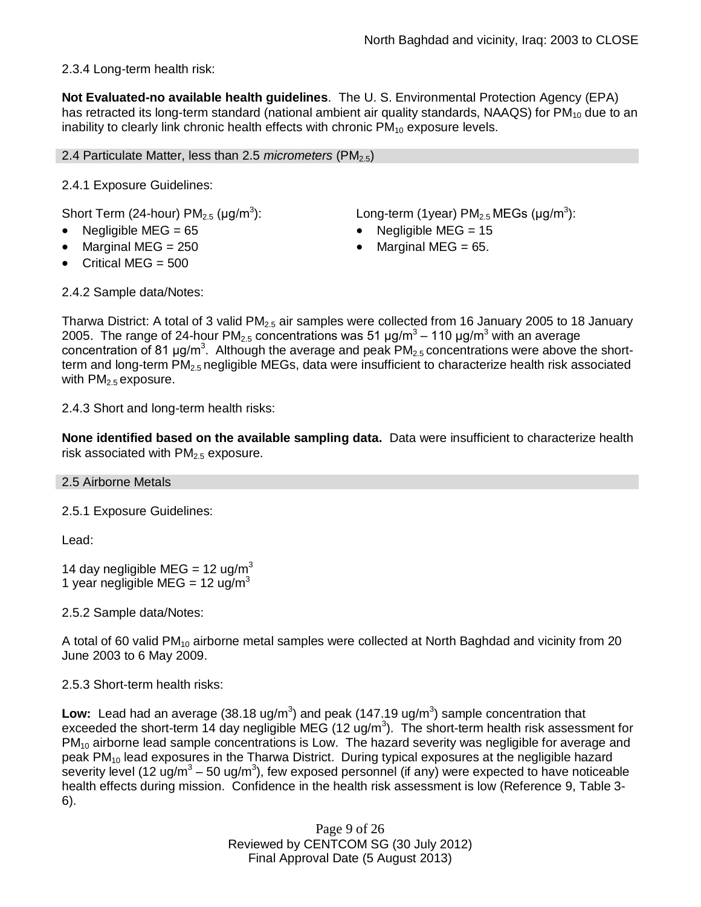# 2.3.4 Long-term health risk:

**Not Evaluated-no available health guidelines**. The U. S. Environmental Protection Agency (EPA) has retracted its long-term standard (national ambient air quality standards, NAAQS) for  $PM_{10}$  due to an inability to clearly link chronic health effects with chronic  $PM_{10}$  exposure levels.

#### 2.4 Particulate Matter, less than 2.5 *micrometers* (PM<sub>2.5</sub>)

2.4.1 Exposure Guidelines:

Short Term (24-hour) PM $_{2.5}$  (µg/m $^3$ 

- 
- 
- Critical MEG  $= 500$

): Long-term (1year)  $PM_{2.5}$  MEGs (µg/m<sup>3</sup>):

- Negligible  $MEG = 65$  
Negligible  $MEG = 15$
- Marginal MEG =  $250$   $\bullet$  Marginal MEG =  $65$ .

2.4.2 Sample data/Notes:

Tharwa District: A total of 3 valid  $PM<sub>2.5</sub>$  air samples were collected from 16 January 2005 to 18 January 2005. The range of 24-hour PM<sub>2.5</sub> concentrations was 51 μg/m<sup>3</sup> – 110 μg/m<sup>3</sup> with an average concentration of 81 µg/m<sup>3</sup>. Although the average and peak  $PM_{2.5}$  concentrations were above the shortterm and long-term PM<sub>2.5</sub> negligible MEGs, data were insufficient to characterize health risk associated with  $PM<sub>2.5</sub>$  exposure.

2.4.3 Short and long-term health risks:

**None identified based on the available sampling data.** Data were insufficient to characterize health risk associated with  $PM<sub>2.5</sub>$  exposure.

#### 2.5 Airborne Metals

2.5.1 Exposure Guidelines:

Lead:

14 day negligible MEG =  $12 \text{ u} \text{g/m}^3$ 1 year negligible MEG = 12 ug/m<sup>3</sup>

2.5.2 Sample data/Notes:

A total of 60 valid PM<sub>10</sub> airborne metal samples were collected at North Baghdad and vicinity from 20 June 2003 to 6 May 2009.

2.5.3 Short-term health risks:

Low: Lead had an average (38.18 ug/m<sup>3</sup>) and peak (147.19 ug/m<sup>3</sup>) sample concentration that exceeded the short-term 14 day negligible MEG (12 ug/m<sup>3</sup>). The short-term health risk assessment for PM<sub>10</sub> airborne lead sample concentrations is Low. The hazard severity was negligible for average and peak PM<sup>10</sup> lead exposures in the Tharwa District. During typical exposures at the negligible hazard severity level (12 ug/m<sup>3</sup> – 50 ug/m<sup>3</sup>), few exposed personnel (if any) were expected to have noticeable health effects during mission. Confidence in the health risk assessment is low (Reference 9, Table 3- 6).

> Page 9 of 26 Reviewed by CENTCOM SG (30 July 2012) Final Approval Date (5 August 2013)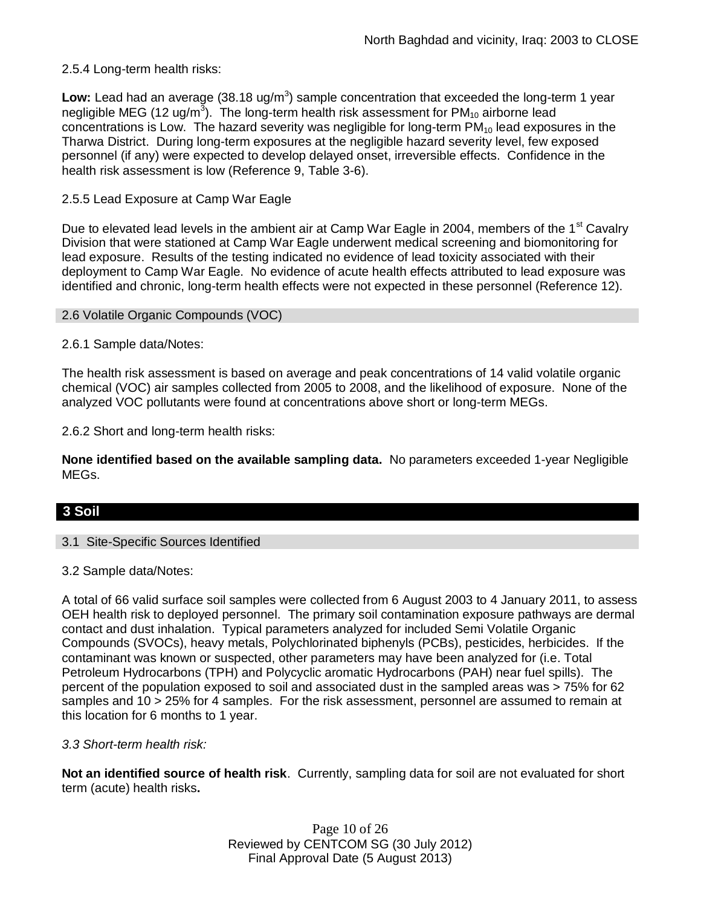### 2.5.4 Long-term health risks:

Low: Lead had an average (38.18 ug/m<sup>3</sup>) sample concentration that exceeded the long-term 1 year negligible MEG (12 ug/m $^{\rm 3}$ ). The long-term health risk assessment for PM<sub>10</sub> airborne lead concentrations is Low. The hazard severity was negligible for long-term  $PM_{10}$  lead exposures in the Tharwa District. During long-term exposures at the negligible hazard severity level, few exposed personnel (if any) were expected to develop delayed onset, irreversible effects. Confidence in the health risk assessment is low (Reference 9, Table 3-6).

### 2.5.5 Lead Exposure at Camp War Eagle

Due to elevated lead levels in the ambient air at Camp War Eagle in 2004, members of the 1<sup>st</sup> Cavalry Division that were stationed at Camp War Eagle underwent medical screening and biomonitoring for lead exposure. Results of the testing indicated no evidence of lead toxicity associated with their deployment to Camp War Eagle. No evidence of acute health effects attributed to lead exposure was identified and chronic, long-term health effects were not expected in these personnel (Reference 12).

### 2.6 Volatile Organic Compounds (VOC)

2.6.1 Sample data/Notes:

The health risk assessment is based on average and peak concentrations of 14 valid volatile organic chemical (VOC) air samples collected from 2005 to 2008, and the likelihood of exposure. None of the analyzed VOC pollutants were found at concentrations above short or long-term MEGs.

2.6.2 Short and long-term health risks:

**None identified based on the available sampling data.** No parameters exceeded 1-year Negligible MEGs.

# **3 Soil**

### 3.1 Site-Specific Sources Identified

### 3.2 Sample data/Notes:

A total of 66 valid surface soil samples were collected from 6 August 2003 to 4 January 2011, to assess OEH health risk to deployed personnel. The primary soil contamination exposure pathways are dermal contact and dust inhalation. Typical parameters analyzed for included Semi Volatile Organic Compounds (SVOCs), heavy metals, Polychlorinated biphenyls (PCBs), pesticides, herbicides. If the contaminant was known or suspected, other parameters may have been analyzed for (i.e. Total Petroleum Hydrocarbons (TPH) and Polycyclic aromatic Hydrocarbons (PAH) near fuel spills). The percent of the population exposed to soil and associated dust in the sampled areas was > 75% for 62 samples and 10 > 25% for 4 samples. For the risk assessment, personnel are assumed to remain at this location for 6 months to 1 year.

#### *3.3 Short-term health risk:*

**Not an identified source of health risk**. Currently, sampling data for soil are not evaluated for short term (acute) health risks**.**

> Page 10 of 26 Reviewed by CENTCOM SG (30 July 2012) Final Approval Date (5 August 2013)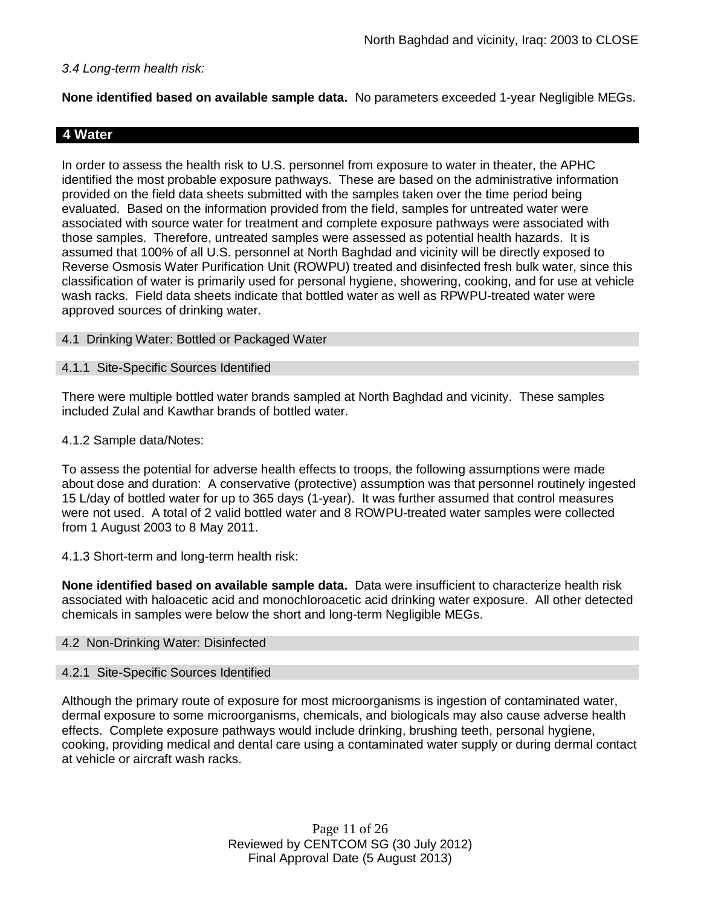### *3.4 Long-term health risk:*

**None identified based on available sample data.** No parameters exceeded 1-year Negligible MEGs.

# **4 Water**

In order to assess the health risk to U.S. personnel from exposure to water in theater, the APHC identified the most probable exposure pathways. These are based on the administrative information provided on the field data sheets submitted with the samples taken over the time period being evaluated. Based on the information provided from the field, samples for untreated water were associated with source water for treatment and complete exposure pathways were associated with those samples. Therefore, untreated samples were assessed as potential health hazards. It is assumed that 100% of all U.S. personnel at North Baghdad and vicinity will be directly exposed to Reverse Osmosis Water Purification Unit (ROWPU) treated and disinfected fresh bulk water, since this classification of water is primarily used for personal hygiene, showering, cooking, and for use at vehicle wash racks. Field data sheets indicate that bottled water as well as RPWPU-treated water were approved sources of drinking water.

#### 4.1 Drinking Water: Bottled or Packaged Water

### 4.1.1 Site-Specific Sources Identified

There were multiple bottled water brands sampled at North Baghdad and vicinity. These samples included Zulal and Kawthar brands of bottled water.

### 4.1.2 Sample data/Notes:

To assess the potential for adverse health effects to troops, the following assumptions were made about dose and duration: A conservative (protective) assumption was that personnel routinely ingested 15 L/day of bottled water for up to 365 days (1-year). It was further assumed that control measures were not used. A total of 2 valid bottled water and 8 ROWPU-treated water samples were collected from 1 August 2003 to 8 May 2011.

#### 4.1.3 Short-term and long-term health risk:

**None identified based on available sample data.** Data were insufficient to characterize health risk associated with haloacetic acid and monochloroacetic acid drinking water exposure. All other detected chemicals in samples were below the short and long-term Negligible MEGs.

### 4.2 Non-Drinking Water: Disinfected

#### 4.2.1 Site-Specific Sources Identified

Although the primary route of exposure for most microorganisms is ingestion of contaminated water, dermal exposure to some microorganisms, chemicals, and biologicals may also cause adverse health effects. Complete exposure pathways would include drinking, brushing teeth, personal hygiene, cooking, providing medical and dental care using a contaminated water supply or during dermal contact at vehicle or aircraft wash racks.

> Page 11 of 26 Reviewed by CENTCOM SG (30 July 2012) Final Approval Date (5 August 2013)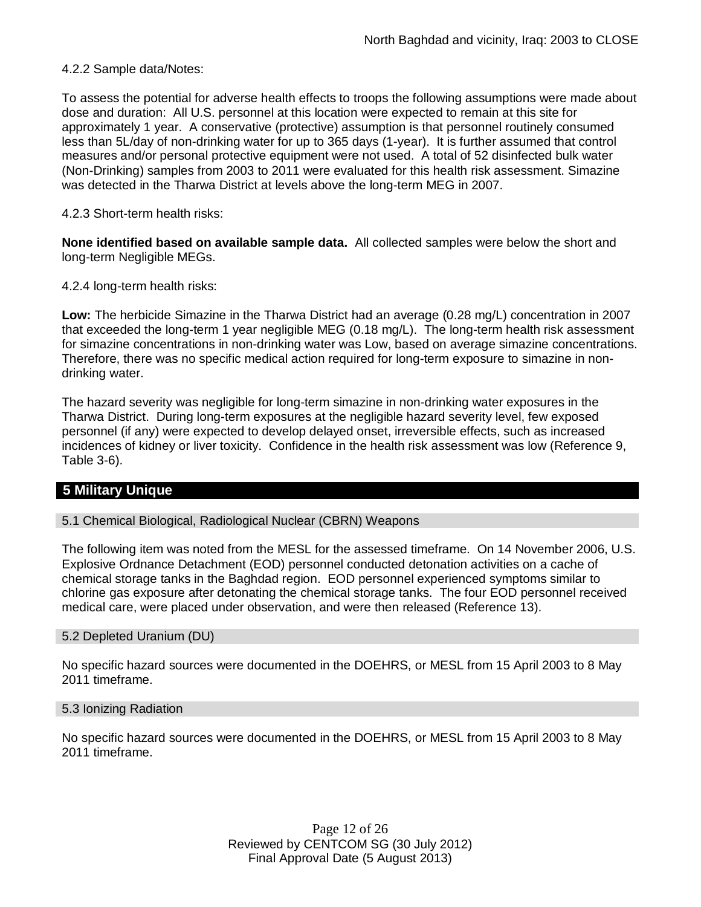4.2.2 Sample data/Notes:

To assess the potential for adverse health effects to troops the following assumptions were made about dose and duration: All U.S. personnel at this location were expected to remain at this site for approximately 1 year. A conservative (protective) assumption is that personnel routinely consumed less than 5L/day of non-drinking water for up to 365 days (1-year). It is further assumed that control measures and/or personal protective equipment were not used. A total of 52 disinfected bulk water (Non-Drinking) samples from 2003 to 2011 were evaluated for this health risk assessment. Simazine was detected in the Tharwa District at levels above the long-term MEG in 2007.

### 4.2.3 Short-term health risks:

**None identified based on available sample data.** All collected samples were below the short and long-term Negligible MEGs.

4.2.4 long-term health risks:

**Low:** The herbicide Simazine in the Tharwa District had an average (0.28 mg/L) concentration in 2007 that exceeded the long-term 1 year negligible MEG (0.18 mg/L). The long-term health risk assessment for simazine concentrations in non-drinking water was Low, based on average simazine concentrations. Therefore, there was no specific medical action required for long-term exposure to simazine in nondrinking water.

The hazard severity was negligible for long-term simazine in non-drinking water exposures in the Tharwa District. During long-term exposures at the negligible hazard severity level, few exposed personnel (if any) were expected to develop delayed onset, irreversible effects, such as increased incidences of kidney or liver toxicity. Confidence in the health risk assessment was low (Reference 9, Table 3-6).

# **5 Military Unique**

#### 5.1 Chemical Biological, Radiological Nuclear (CBRN) Weapons

The following item was noted from the MESL for the assessed timeframe. On 14 November 2006, U.S. Explosive Ordnance Detachment (EOD) personnel conducted detonation activities on a cache of chemical storage tanks in the Baghdad region. EOD personnel experienced symptoms similar to chlorine gas exposure after detonating the chemical storage tanks. The four EOD personnel received medical care, were placed under observation, and were then released (Reference 13).

#### 5.2 Depleted Uranium (DU)

No specific hazard sources were documented in the DOEHRS, or MESL from 15 April 2003 to 8 May 2011 timeframe.

#### 5.3 Ionizing Radiation

No specific hazard sources were documented in the DOEHRS, or MESL from 15 April 2003 to 8 May 2011 timeframe.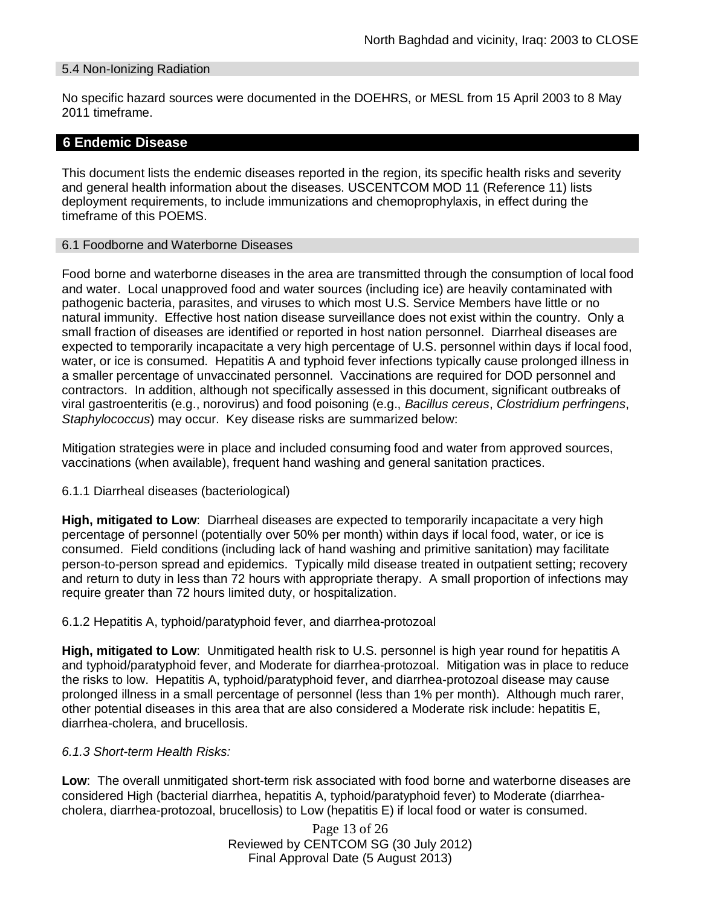### 5.4 Non-Ionizing Radiation

No specific hazard sources were documented in the DOEHRS, or MESL from 15 April 2003 to 8 May 2011 timeframe.

### **6 Endemic Disease**

This document lists the endemic diseases reported in the region, its specific health risks and severity and general health information about the diseases. USCENTCOM MOD 11 (Reference 11) lists deployment requirements, to include immunizations and chemoprophylaxis, in effect during the timeframe of this POEMS.

#### 6.1 Foodborne and Waterborne Diseases

Food borne and waterborne diseases in the area are transmitted through the consumption of local food and water. Local unapproved food and water sources (including ice) are heavily contaminated with pathogenic bacteria, parasites, and viruses to which most U.S. Service Members have little or no natural immunity. Effective host nation disease surveillance does not exist within the country. Only a small fraction of diseases are identified or reported in host nation personnel. Diarrheal diseases are expected to temporarily incapacitate a very high percentage of U.S. personnel within days if local food, water, or ice is consumed. Hepatitis A and typhoid fever infections typically cause prolonged illness in a smaller percentage of unvaccinated personnel. Vaccinations are required for DOD personnel and contractors. In addition, although not specifically assessed in this document, significant outbreaks of viral gastroenteritis (e.g., norovirus) and food poisoning (e.g., *Bacillus cereus*, *Clostridium perfringens*, *Staphylococcus*) may occur. Key disease risks are summarized below:

Mitigation strategies were in place and included consuming food and water from approved sources, vaccinations (when available), frequent hand washing and general sanitation practices.

#### 6.1.1 Diarrheal diseases (bacteriological)

**High, mitigated to Low**: Diarrheal diseases are expected to temporarily incapacitate a very high percentage of personnel (potentially over 50% per month) within days if local food, water, or ice is consumed. Field conditions (including lack of hand washing and primitive sanitation) may facilitate person-to-person spread and epidemics. Typically mild disease treated in outpatient setting; recovery and return to duty in less than 72 hours with appropriate therapy. A small proportion of infections may require greater than 72 hours limited duty, or hospitalization.

#### 6.1.2 Hepatitis A, typhoid/paratyphoid fever, and diarrhea-protozoal

**High, mitigated to Low**: Unmitigated health risk to U.S. personnel is high year round for hepatitis A and typhoid/paratyphoid fever, and Moderate for diarrhea-protozoal. Mitigation was in place to reduce the risks to low. Hepatitis A, typhoid/paratyphoid fever, and diarrhea-protozoal disease may cause prolonged illness in a small percentage of personnel (less than 1% per month). Although much rarer, other potential diseases in this area that are also considered a Moderate risk include: hepatitis E, diarrhea-cholera, and brucellosis.

### *6.1.3 Short-term Health Risks:*

**Low**: The overall unmitigated short-term risk associated with food borne and waterborne diseases are considered High (bacterial diarrhea, hepatitis A, typhoid/paratyphoid fever) to Moderate (diarrheacholera, diarrhea-protozoal, brucellosis) to Low (hepatitis E) if local food or water is consumed.

> Page 13 of 26 Reviewed by CENTCOM SG (30 July 2012) Final Approval Date (5 August 2013)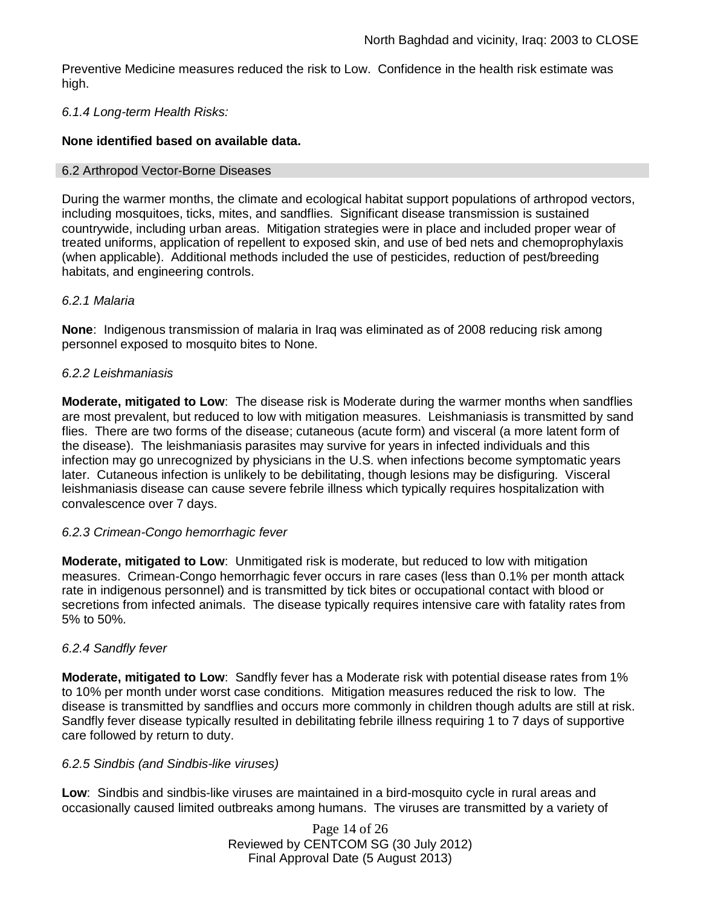Preventive Medicine measures reduced the risk to Low. Confidence in the health risk estimate was high.

### *6.1.4 Long-term Health Risks:*

### **None identified based on available data.**

#### 6.2 Arthropod Vector-Borne Diseases

During the warmer months, the climate and ecological habitat support populations of arthropod vectors, including mosquitoes, ticks, mites, and sandflies. Significant disease transmission is sustained countrywide, including urban areas. Mitigation strategies were in place and included proper wear of treated uniforms, application of repellent to exposed skin, and use of bed nets and chemoprophylaxis (when applicable). Additional methods included the use of pesticides, reduction of pest/breeding habitats, and engineering controls.

### *6.2.1 Malaria*

**None**: Indigenous transmission of malaria in Iraq was eliminated as of 2008 reducing risk among personnel exposed to mosquito bites to None.

### *6.2.2 Leishmaniasis*

**Moderate, mitigated to Low**: The disease risk is Moderate during the warmer months when sandflies are most prevalent, but reduced to low with mitigation measures. Leishmaniasis is transmitted by sand flies. There are two forms of the disease; cutaneous (acute form) and visceral (a more latent form of the disease). The leishmaniasis parasites may survive for years in infected individuals and this infection may go unrecognized by physicians in the U.S. when infections become symptomatic years later. Cutaneous infection is unlikely to be debilitating, though lesions may be disfiguring. Visceral leishmaniasis disease can cause severe febrile illness which typically requires hospitalization with convalescence over 7 days.

### *6.2.3 Crimean-Congo hemorrhagic fever*

**Moderate, mitigated to Low**: Unmitigated risk is moderate, but reduced to low with mitigation measures. Crimean-Congo hemorrhagic fever occurs in rare cases (less than 0.1% per month attack rate in indigenous personnel) and is transmitted by tick bites or occupational contact with blood or secretions from infected animals. The disease typically requires intensive care with fatality rates from 5% to 50%.

### *6.2.4 Sandfly fever*

**Moderate, mitigated to Low**: Sandfly fever has a Moderate risk with potential disease rates from 1% to 10% per month under worst case conditions. Mitigation measures reduced the risk to low. The disease is transmitted by sandflies and occurs more commonly in children though adults are still at risk. Sandfly fever disease typically resulted in debilitating febrile illness requiring 1 to 7 days of supportive care followed by return to duty.

#### *6.2.5 Sindbis (and Sindbis-like viruses)*

**Low**: Sindbis and sindbis-like viruses are maintained in a bird-mosquito cycle in rural areas and occasionally caused limited outbreaks among humans. The viruses are transmitted by a variety of

> Page 14 of 26 Reviewed by CENTCOM SG (30 July 2012) Final Approval Date (5 August 2013)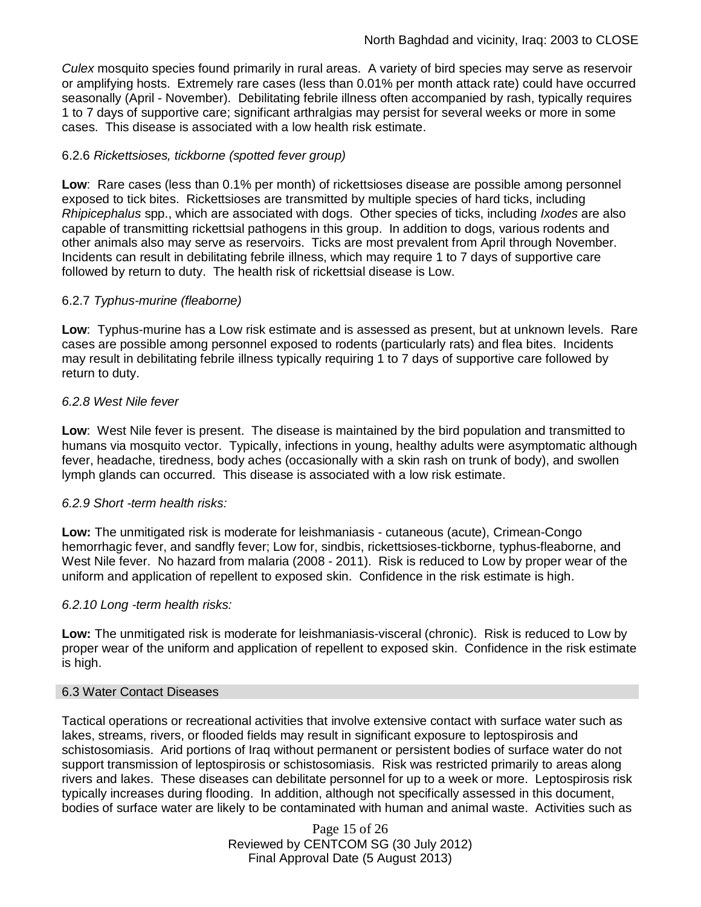*Culex* mosquito species found primarily in rural areas. A variety of bird species may serve as reservoir or amplifying hosts. Extremely rare cases (less than 0.01% per month attack rate) could have occurred seasonally (April - November). Debilitating febrile illness often accompanied by rash, typically requires 1 to 7 days of supportive care; significant arthralgias may persist for several weeks or more in some cases. This disease is associated with a low health risk estimate.

### 6.2.6 *Rickettsioses, tickborne (spotted fever group)*

**Low**: Rare cases (less than 0.1% per month) of rickettsioses disease are possible among personnel exposed to tick bites. Rickettsioses are transmitted by multiple species of hard ticks, including *Rhipicephalus* spp., which are associated with dogs. Other species of ticks, including *Ixodes* are also capable of transmitting rickettsial pathogens in this group. In addition to dogs, various rodents and other animals also may serve as reservoirs. Ticks are most prevalent from April through November. Incidents can result in debilitating febrile illness, which may require 1 to 7 days of supportive care followed by return to duty. The health risk of rickettsial disease is Low.

### 6.2.7 *Typhus-murine (fleaborne)*

**Low**: Typhus-murine has a Low risk estimate and is assessed as present, but at unknown levels. Rare cases are possible among personnel exposed to rodents (particularly rats) and flea bites. Incidents may result in debilitating febrile illness typically requiring 1 to 7 days of supportive care followed by return to duty.

### *6.2.8 West Nile fever*

**Low**: West Nile fever is present. The disease is maintained by the bird population and transmitted to humans via mosquito vector. Typically, infections in young, healthy adults were asymptomatic although fever, headache, tiredness, body aches (occasionally with a skin rash on trunk of body), and swollen lymph glands can occurred. This disease is associated with a low risk estimate.

### *6.2.9 Short -term health risks:*

**Low:** The unmitigated risk is moderate for leishmaniasis - cutaneous (acute), Crimean-Congo hemorrhagic fever, and sandfly fever; Low for, sindbis, rickettsioses-tickborne*,* typhus-fleaborne, and West Nile fever. No hazard from malaria (2008 - 2011). Risk is reduced to Low by proper wear of the uniform and application of repellent to exposed skin. Confidence in the risk estimate is high.

### *6.2.10 Long -term health risks:*

**Low:** The unmitigated risk is moderate for leishmaniasis-visceral (chronic). Risk is reduced to Low by proper wear of the uniform and application of repellent to exposed skin. Confidence in the risk estimate is high.

#### 6.3 Water Contact Diseases

Tactical operations or recreational activities that involve extensive contact with surface water such as lakes, streams, rivers, or flooded fields may result in significant exposure to leptospirosis and schistosomiasis. Arid portions of Iraq without permanent or persistent bodies of surface water do not support transmission of leptospirosis or schistosomiasis. Risk was restricted primarily to areas along rivers and lakes. These diseases can debilitate personnel for up to a week or more. Leptospirosis risk typically increases during flooding. In addition, although not specifically assessed in this document, bodies of surface water are likely to be contaminated with human and animal waste. Activities such as

> Page 15 of 26 Reviewed by CENTCOM SG (30 July 2012) Final Approval Date (5 August 2013)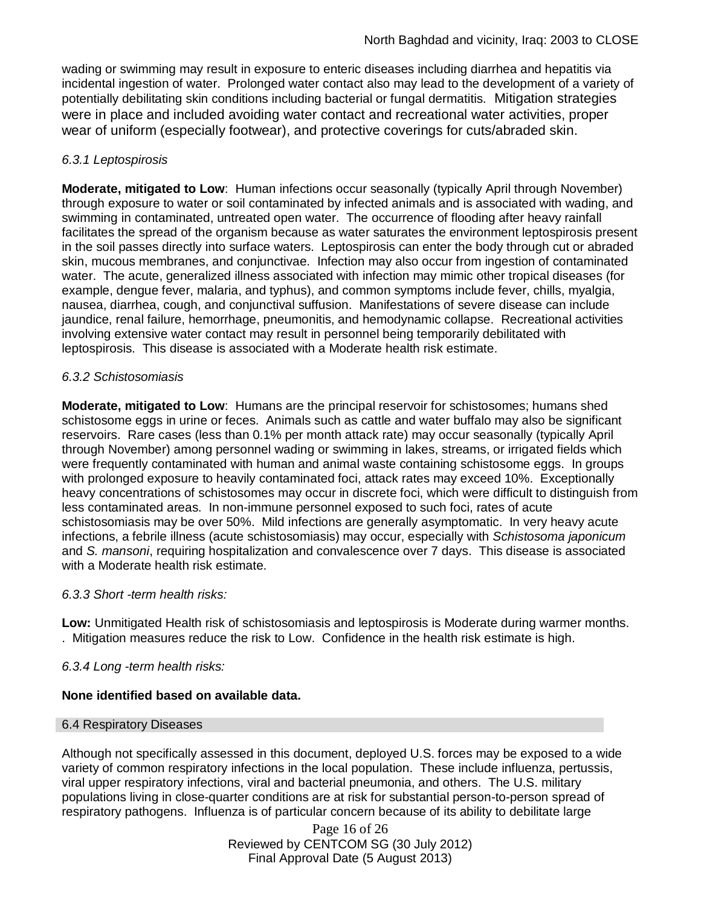wading or swimming may result in exposure to enteric diseases including diarrhea and hepatitis via incidental ingestion of water. Prolonged water contact also may lead to the development of a variety of potentially debilitating skin conditions including bacterial or fungal dermatitis. Mitigation strategies were in place and included avoiding water contact and recreational water activities, proper wear of uniform (especially footwear), and protective coverings for cuts/abraded skin.

# *6.3.1 Leptospirosis*

**Moderate, mitigated to Low**: Human infections occur seasonally (typically April through November) through exposure to water or soil contaminated by infected animals and is associated with wading, and swimming in contaminated, untreated open water. The occurrence of flooding after heavy rainfall facilitates the spread of the organism because as water saturates the environment leptospirosis present in the soil passes directly into surface waters. Leptospirosis can enter the body through cut or abraded skin, mucous membranes, and conjunctivae. Infection may also occur from ingestion of contaminated water. The acute, generalized illness associated with infection may mimic other tropical diseases (for example, dengue fever, malaria, and typhus), and common symptoms include fever, chills, myalgia, nausea, diarrhea, cough, and conjunctival suffusion. Manifestations of severe disease can include jaundice, renal failure, hemorrhage, pneumonitis, and hemodynamic collapse. Recreational activities involving extensive water contact may result in personnel being temporarily debilitated with leptospirosis. This disease is associated with a Moderate health risk estimate.

# *6.3.2 Schistosomiasis*

**Moderate, mitigated to Low**: Humans are the principal reservoir for schistosomes; humans shed schistosome eggs in urine or feces. Animals such as cattle and water buffalo may also be significant reservoirs. Rare cases (less than 0.1% per month attack rate) may occur seasonally (typically April through November) among personnel wading or swimming in lakes, streams, or irrigated fields which were frequently contaminated with human and animal waste containing schistosome eggs. In groups with prolonged exposure to heavily contaminated foci, attack rates may exceed 10%. Exceptionally heavy concentrations of schistosomes may occur in discrete foci, which were difficult to distinguish from less contaminated areas. In non-immune personnel exposed to such foci, rates of acute schistosomiasis may be over 50%. Mild infections are generally asymptomatic. In very heavy acute infections, a febrile illness (acute schistosomiasis) may occur, especially with *Schistosoma japonicum* and *S. mansoni*, requiring hospitalization and convalescence over 7 days. This disease is associated with a Moderate health risk estimate.

### *6.3.3 Short -term health risks:*

**Low:** Unmitigated Health risk of schistosomiasis and leptospirosis is Moderate during warmer months. . Mitigation measures reduce the risk to Low. Confidence in the health risk estimate is high.

*6.3.4 Long -term health risks:*

# **None identified based on available data.**

### 6.4 Respiratory Diseases

Although not specifically assessed in this document, deployed U.S. forces may be exposed to a wide variety of common respiratory infections in the local population. These include influenza, pertussis, viral upper respiratory infections, viral and bacterial pneumonia, and others. The U.S. military populations living in close-quarter conditions are at risk for substantial person-to-person spread of respiratory pathogens. Influenza is of particular concern because of its ability to debilitate large

> Page 16 of 26 Reviewed by CENTCOM SG (30 July 2012) Final Approval Date (5 August 2013)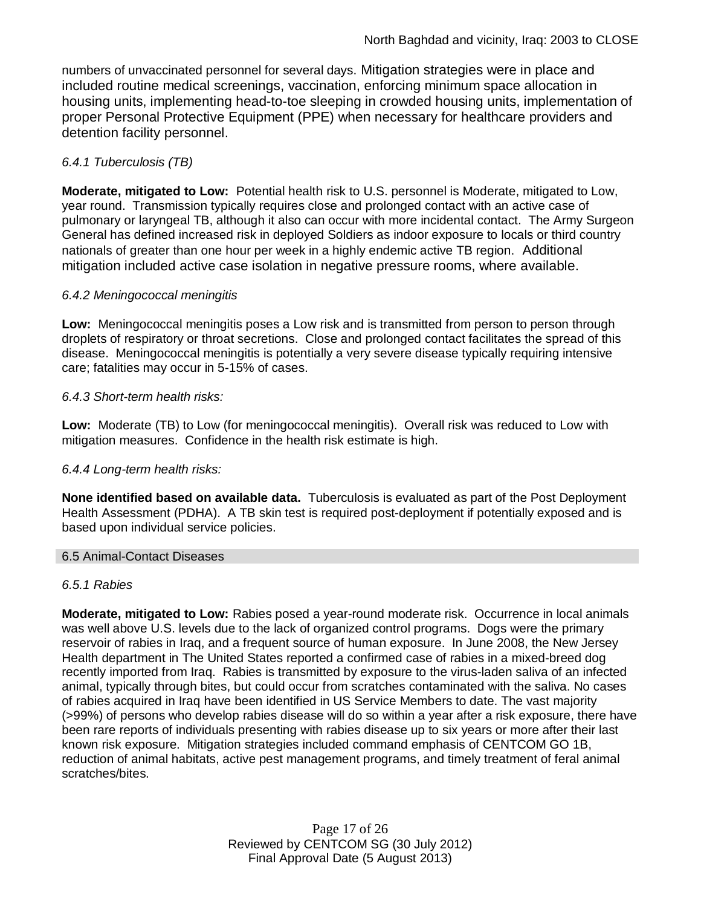numbers of unvaccinated personnel for several days. Mitigation strategies were in place and included routine medical screenings, vaccination, enforcing minimum space allocation in housing units, implementing head-to-toe sleeping in crowded housing units, implementation of proper Personal Protective Equipment (PPE) when necessary for healthcare providers and detention facility personnel.

# *6.4.1 Tuberculosis (TB)*

**Moderate, mitigated to Low:** Potential health risk to U.S. personnel is Moderate, mitigated to Low, year round. Transmission typically requires close and prolonged contact with an active case of pulmonary or laryngeal TB, although it also can occur with more incidental contact. The Army Surgeon General has defined increased risk in deployed Soldiers as indoor exposure to locals or third country nationals of greater than one hour per week in a highly endemic active TB region. Additional mitigation included active case isolation in negative pressure rooms, where available.

### *6.4.2 Meningococcal meningitis*

**Low:** Meningococcal meningitis poses a Low risk and is transmitted from person to person through droplets of respiratory or throat secretions. Close and prolonged contact facilitates the spread of this disease. Meningococcal meningitis is potentially a very severe disease typically requiring intensive care; fatalities may occur in 5-15% of cases.

# *6.4.3 Short-term health risks:*

**Low:** Moderate (TB) to Low (for meningococcal meningitis). Overall risk was reduced to Low with mitigation measures. Confidence in the health risk estimate is high.

### *6.4.4 Long-term health risks:*

**None identified based on available data.** Tuberculosis is evaluated as part of the Post Deployment Health Assessment (PDHA). A TB skin test is required post-deployment if potentially exposed and is based upon individual service policies.

### 6.5 Animal-Contact Diseases

### *6.5.1 Rabies*

**Moderate, mitigated to Low:** Rabies posed a year-round moderate risk. Occurrence in local animals was well above U.S. levels due to the lack of organized control programs. Dogs were the primary reservoir of rabies in Iraq, and a frequent source of human exposure. In June 2008, the New Jersey Health department in The United States reported a confirmed case of rabies in a mixed-breed dog recently imported from Iraq. Rabies is transmitted by exposure to the virus-laden saliva of an infected animal, typically through bites, but could occur from scratches contaminated with the saliva. No cases of rabies acquired in Iraq have been identified in US Service Members to date. The vast majority (>99%) of persons who develop rabies disease will do so within a year after a risk exposure, there have been rare reports of individuals presenting with rabies disease up to six years or more after their last known risk exposure. Mitigation strategies included command emphasis of CENTCOM GO 1B, reduction of animal habitats, active pest management programs, and timely treatment of feral animal scratches/bites.

> Page 17 of 26 Reviewed by CENTCOM SG (30 July 2012) Final Approval Date (5 August 2013)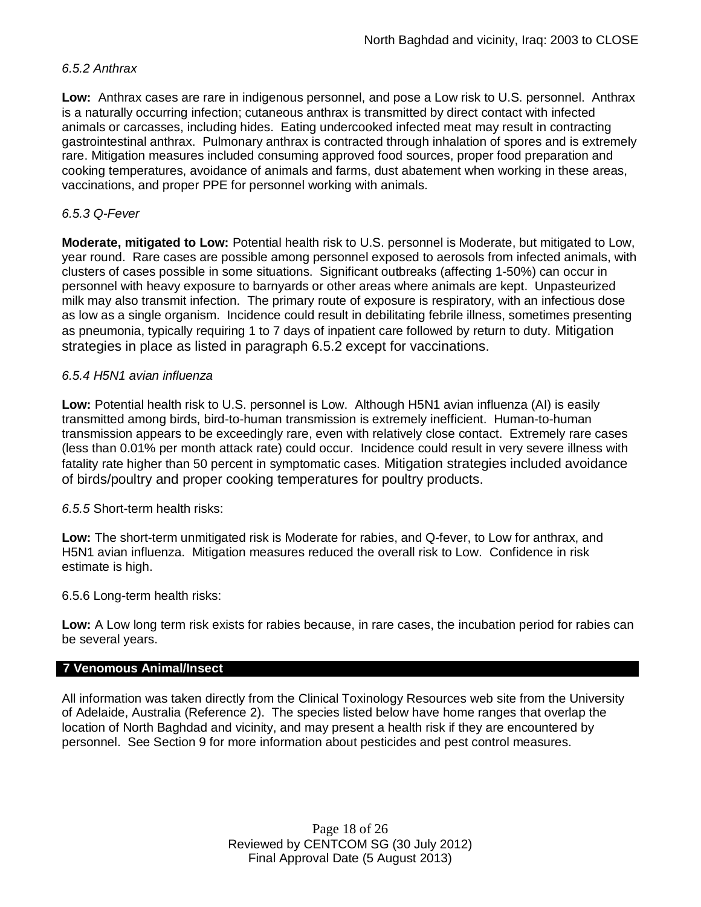### *6.5.2 Anthrax*

**Low:** Anthrax cases are rare in indigenous personnel, and pose a Low risk to U.S. personnel. Anthrax is a naturally occurring infection; cutaneous anthrax is transmitted by direct contact with infected animals or carcasses, including hides. Eating undercooked infected meat may result in contracting gastrointestinal anthrax. Pulmonary anthrax is contracted through inhalation of spores and is extremely rare. Mitigation measures included consuming approved food sources, proper food preparation and cooking temperatures, avoidance of animals and farms, dust abatement when working in these areas, vaccinations, and proper PPE for personnel working with animals.

### *6.5.3 Q-Fever*

**Moderate, mitigated to Low:** Potential health risk to U.S. personnel is Moderate, but mitigated to Low, year round. Rare cases are possible among personnel exposed to aerosols from infected animals, with clusters of cases possible in some situations. Significant outbreaks (affecting 1-50%) can occur in personnel with heavy exposure to barnyards or other areas where animals are kept. Unpasteurized milk may also transmit infection. The primary route of exposure is respiratory, with an infectious dose as low as a single organism. Incidence could result in debilitating febrile illness, sometimes presenting as pneumonia, typically requiring 1 to 7 days of inpatient care followed by return to duty. Mitigation strategies in place as listed in paragraph 6.5.2 except for vaccinations.

### *6.5.4 H5N1 avian influenza*

**Low:** Potential health risk to U.S. personnel is Low. Although H5N1 avian influenza (AI) is easily transmitted among birds, bird-to-human transmission is extremely inefficient. Human-to-human transmission appears to be exceedingly rare, even with relatively close contact. Extremely rare cases (less than 0.01% per month attack rate) could occur. Incidence could result in very severe illness with fatality rate higher than 50 percent in symptomatic cases. Mitigation strategies included avoidance of birds/poultry and proper cooking temperatures for poultry products.

*6.5.5* Short-term health risks:

**Low:** The short-term unmitigated risk is Moderate for rabies, and Q-fever, to Low for anthrax, and H5N1 avian influenza. Mitigation measures reduced the overall risk to Low. Confidence in risk estimate is high.

6.5.6 Long-term health risks:

**Low:** A Low long term risk exists for rabies because, in rare cases, the incubation period for rabies can be several years.

#### **7 Venomous Animal/Insect**

All information was taken directly from the Clinical Toxinology Resources web site from the University of Adelaide, Australia (Reference 2). The species listed below have home ranges that overlap the location of North Baghdad and vicinity, and may present a health risk if they are encountered by personnel. See Section 9 for more information about pesticides and pest control measures.

> Page 18 of 26 Reviewed by CENTCOM SG (30 July 2012) Final Approval Date (5 August 2013)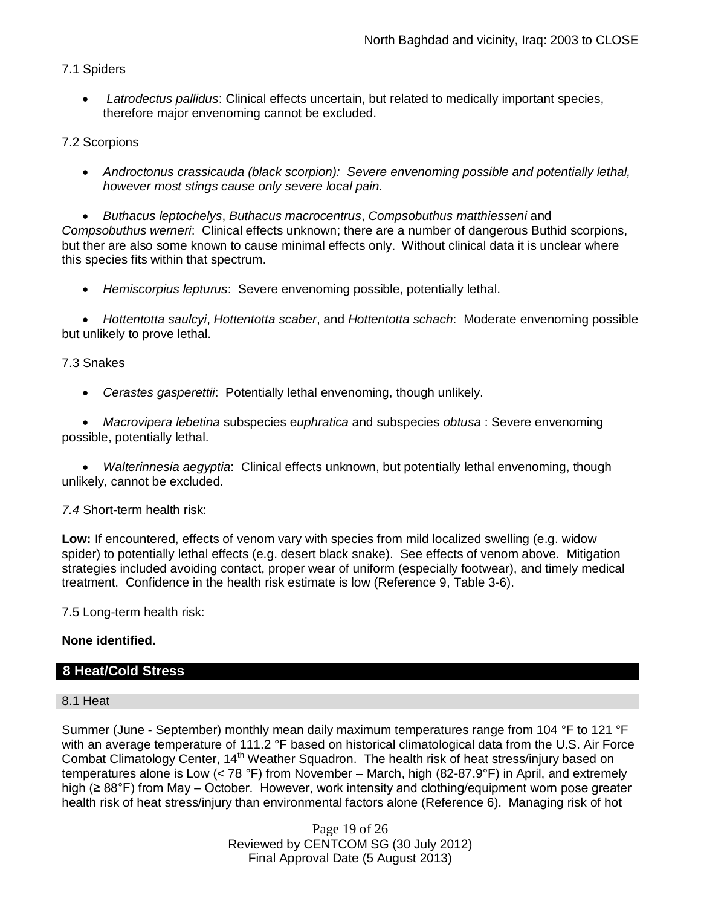# 7.1 Spiders

 *Latrodectus pallidus*: Clinical effects uncertain, but related to medically important species, therefore major envenoming cannot be excluded.

# 7.2 Scorpions

 *Androctonus crassicauda (black scorpion): Severe envenoming possible and potentially lethal, however most stings cause only severe local pain.*

 *Buthacus leptochelys*, *Buthacus macrocentrus*, *Compsobuthus matthiesseni* and *Compsobuthus werneri*: Clinical effects unknown; there are a number of dangerous Buthid scorpions, but ther are also some known to cause minimal effects only. Without clinical data it is unclear where this species fits within that spectrum.

*Hemiscorpius lepturus*: Severe envenoming possible, potentially lethal.

 *Hottentotta saulcyi*, *Hottentotta scaber*, and *Hottentotta schach*: Moderate envenoming possible but unlikely to prove lethal.

### 7.3 Snakes

*Cerastes gasperettii*: Potentially lethal envenoming, though unlikely.

 *Macrovipera lebetina* subspecies e*uphratica* and subspecies *obtusa* : Severe envenoming possible, potentially lethal.

 *Walterinnesia aegyptia*: Clinical effects unknown, but potentially lethal envenoming, though unlikely, cannot be excluded.

### *7.4* Short-term health risk:

**Low:** If encountered, effects of venom vary with species from mild localized swelling (e.g. widow spider) to potentially lethal effects (e.g. desert black snake). See effects of venom above. Mitigation strategies included avoiding contact, proper wear of uniform (especially footwear), and timely medical treatment. Confidence in the health risk estimate is low (Reference 9, Table 3-6).

7.5 Long-term health risk:

### **None identified.**

### **8 Heat/Cold Stress**

#### 8.1 Heat

Summer (June - September) monthly mean daily maximum temperatures range from 104 °F to 121 °F with an average temperature of 111.2 °F based on historical climatological data from the U.S. Air Force Combat Climatology Center, 14<sup>th</sup> Weather Squadron. The health risk of heat stress/injury based on temperatures alone is Low (< 78 °F) from November – March, high (82-87.9°F) in April, and extremely high (≥ 88°F) from May – October. However, work intensity and clothing/equipment worn pose greater health risk of heat stress/injury than environmental factors alone (Reference 6). Managing risk of hot

> Page 19 of 26 Reviewed by CENTCOM SG (30 July 2012) Final Approval Date (5 August 2013)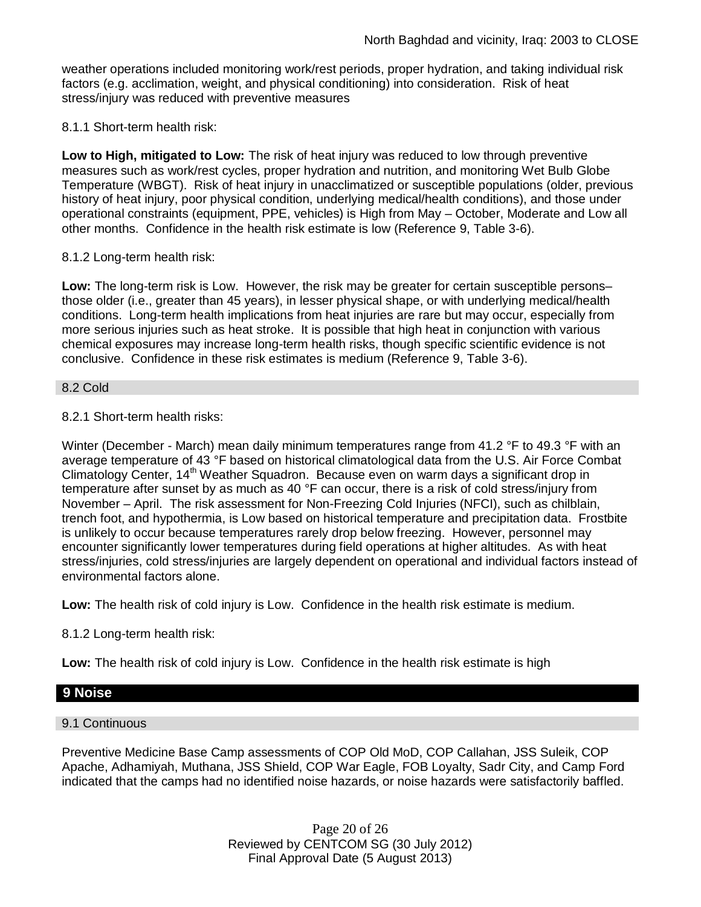weather operations included monitoring work/rest periods, proper hydration, and taking individual risk factors (e.g. acclimation, weight, and physical conditioning) into consideration. Risk of heat stress/injury was reduced with preventive measures

8.1.1 Short-term health risk:

**Low to High, mitigated to Low:** The risk of heat injury was reduced to low through preventive measures such as work/rest cycles, proper hydration and nutrition, and monitoring Wet Bulb Globe Temperature (WBGT). Risk of heat injury in unacclimatized or susceptible populations (older, previous history of heat injury, poor physical condition, underlying medical/health conditions), and those under operational constraints (equipment, PPE, vehicles) is High from May – October, Moderate and Low all other months. Confidence in the health risk estimate is low (Reference 9, Table 3-6).

### 8.1.2 Long-term health risk:

**Low:** The long-term risk is Low. However, the risk may be greater for certain susceptible persons– those older (i.e., greater than 45 years), in lesser physical shape, or with underlying medical/health conditions. Long-term health implications from heat injuries are rare but may occur, especially from more serious injuries such as heat stroke. It is possible that high heat in conjunction with various chemical exposures may increase long-term health risks, though specific scientific evidence is not conclusive. Confidence in these risk estimates is medium (Reference 9, Table 3-6).

#### 8.2 Cold

### 8.2.1 Short-term health risks:

Winter (December - March) mean daily minimum temperatures range from 41.2 °F to 49.3 °F with an average temperature of 43 °F based on historical climatological data from the U.S. Air Force Combat Climatology Center, 14<sup>th</sup> Weather Squadron. Because even on warm days a significant drop in temperature after sunset by as much as 40 °F can occur, there is a risk of cold stress/injury from November – April. The risk assessment for Non-Freezing Cold Injuries (NFCI), such as chilblain, trench foot, and hypothermia, is Low based on historical temperature and precipitation data. Frostbite is unlikely to occur because temperatures rarely drop below freezing. However, personnel may encounter significantly lower temperatures during field operations at higher altitudes. As with heat stress/injuries, cold stress/injuries are largely dependent on operational and individual factors instead of environmental factors alone.

**Low:** The health risk of cold injury is Low. Confidence in the health risk estimate is medium.

8.1.2 Long-term health risk:

**Low:** The health risk of cold injury is Low. Confidence in the health risk estimate is high

# **9 Noise**

### 9.1 Continuous

Preventive Medicine Base Camp assessments of COP Old MoD, COP Callahan, JSS Suleik, COP Apache, Adhamiyah, Muthana, JSS Shield, COP War Eagle, FOB Loyalty, Sadr City, and Camp Ford indicated that the camps had no identified noise hazards, or noise hazards were satisfactorily baffled.

> Page 20 of 26 Reviewed by CENTCOM SG (30 July 2012) Final Approval Date (5 August 2013)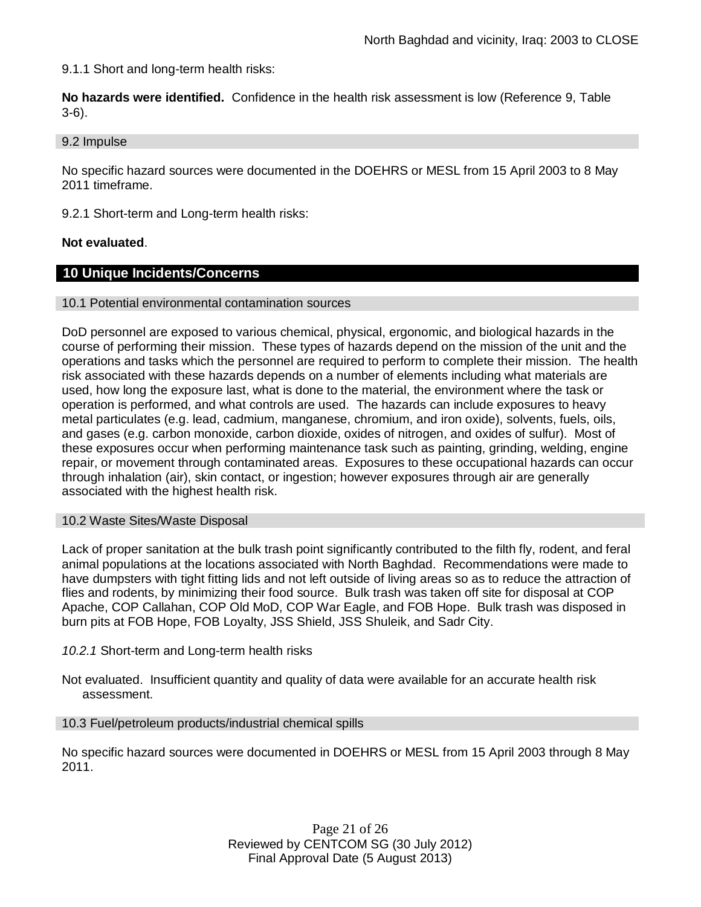9.1.1 Short and long-term health risks:

**No hazards were identified.** Confidence in the health risk assessment is low (Reference 9, Table 3-6).

9.2 Impulse

No specific hazard sources were documented in the DOEHRS or MESL from 15 April 2003 to 8 May 2011 timeframe.

9.2.1 Short-term and Long-term health risks:

#### **Not evaluated**.

### **10 Unique Incidents/Concerns**

#### 10.1 Potential environmental contamination sources

DoD personnel are exposed to various chemical, physical, ergonomic, and biological hazards in the course of performing their mission. These types of hazards depend on the mission of the unit and the operations and tasks which the personnel are required to perform to complete their mission. The health risk associated with these hazards depends on a number of elements including what materials are used, how long the exposure last, what is done to the material, the environment where the task or operation is performed, and what controls are used. The hazards can include exposures to heavy metal particulates (e.g. lead, cadmium, manganese, chromium, and iron oxide), solvents, fuels, oils, and gases (e.g. carbon monoxide, carbon dioxide, oxides of nitrogen, and oxides of sulfur). Most of these exposures occur when performing maintenance task such as painting, grinding, welding, engine repair, or movement through contaminated areas. Exposures to these occupational hazards can occur through inhalation (air), skin contact, or ingestion; however exposures through air are generally associated with the highest health risk.

#### 10.2 Waste Sites/Waste Disposal

Lack of proper sanitation at the bulk trash point significantly contributed to the filth fly, rodent, and feral animal populations at the locations associated with North Baghdad. Recommendations were made to have dumpsters with tight fitting lids and not left outside of living areas so as to reduce the attraction of flies and rodents, by minimizing their food source. Bulk trash was taken off site for disposal at COP Apache, COP Callahan, COP Old MoD, COP War Eagle, and FOB Hope. Bulk trash was disposed in burn pits at FOB Hope, FOB Loyalty, JSS Shield, JSS Shuleik, and Sadr City.

#### *10.2.1* Short-term and Long-term health risks

Not evaluated. Insufficient quantity and quality of data were available for an accurate health risk assessment.

#### 10.3 Fuel/petroleum products/industrial chemical spills

No specific hazard sources were documented in DOEHRS or MESL from 15 April 2003 through 8 May 2011.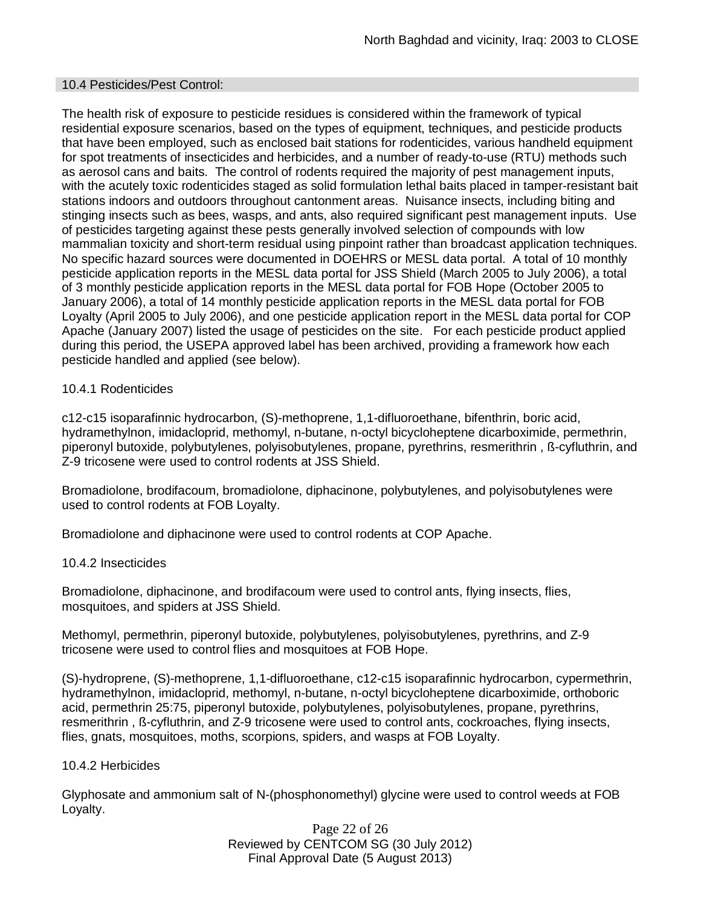#### 10.4 Pesticides/Pest Control:

The health risk of exposure to pesticide residues is considered within the framework of typical residential exposure scenarios, based on the types of equipment, techniques, and pesticide products that have been employed, such as enclosed bait stations for rodenticides, various handheld equipment for spot treatments of insecticides and herbicides, and a number of ready-to-use (RTU) methods such as aerosol cans and baits. The control of rodents required the majority of pest management inputs, with the acutely toxic rodenticides staged as solid formulation lethal baits placed in tamper-resistant bait stations indoors and outdoors throughout cantonment areas. Nuisance insects, including biting and stinging insects such as bees, wasps, and ants, also required significant pest management inputs. Use of pesticides targeting against these pests generally involved selection of compounds with low mammalian toxicity and short-term residual using pinpoint rather than broadcast application techniques. No specific hazard sources were documented in DOEHRS or MESL data portal. A total of 10 monthly pesticide application reports in the MESL data portal for JSS Shield (March 2005 to July 2006), a total of 3 monthly pesticide application reports in the MESL data portal for FOB Hope (October 2005 to January 2006), a total of 14 monthly pesticide application reports in the MESL data portal for FOB Loyalty (April 2005 to July 2006), and one pesticide application report in the MESL data portal for COP Apache (January 2007) listed the usage of pesticides on the site. For each pesticide product applied during this period, the USEPA approved label has been archived, providing a framework how each pesticide handled and applied (see below).

### 10.4.1 Rodenticides

c12-c15 isoparafinnic hydrocarbon, (S)-methoprene, 1,1-difluoroethane, bifenthrin, boric acid, hydramethylnon, imidacloprid, methomyl, n-butane, n-octyl bicycloheptene dicarboximide, permethrin, piperonyl butoxide, polybutylenes, polyisobutylenes, propane, pyrethrins, resmerithrin , ß-cyfluthrin, and Z-9 tricosene were used to control rodents at JSS Shield.

Bromadiolone, brodifacoum, bromadiolone, diphacinone, polybutylenes, and polyisobutylenes were used to control rodents at FOB Loyalty.

Bromadiolone and diphacinone were used to control rodents at COP Apache.

#### 10.4.2 Insecticides

Bromadiolone, diphacinone, and brodifacoum were used to control ants, flying insects, flies, mosquitoes, and spiders at JSS Shield.

Methomyl, permethrin, piperonyl butoxide, polybutylenes, polyisobutylenes, pyrethrins, and Z-9 tricosene were used to control flies and mosquitoes at FOB Hope.

(S)-hydroprene, (S)-methoprene, 1,1-difluoroethane, c12-c15 isoparafinnic hydrocarbon, cypermethrin, hydramethylnon, imidacloprid, methomyl, n-butane, n-octyl bicycloheptene dicarboximide, orthoboric acid, permethrin 25:75, piperonyl butoxide, polybutylenes, polyisobutylenes, propane, pyrethrins, resmerithrin , ß-cyfluthrin, and Z-9 tricosene were used to control ants, cockroaches, flying insects, flies, gnats, mosquitoes, moths, scorpions, spiders, and wasps at FOB Loyalty.

#### 10.4.2 Herbicides

Glyphosate and ammonium salt of N-(phosphonomethyl) glycine were used to control weeds at FOB Loyalty.

> Page 22 of 26 Reviewed by CENTCOM SG (30 July 2012) Final Approval Date (5 August 2013)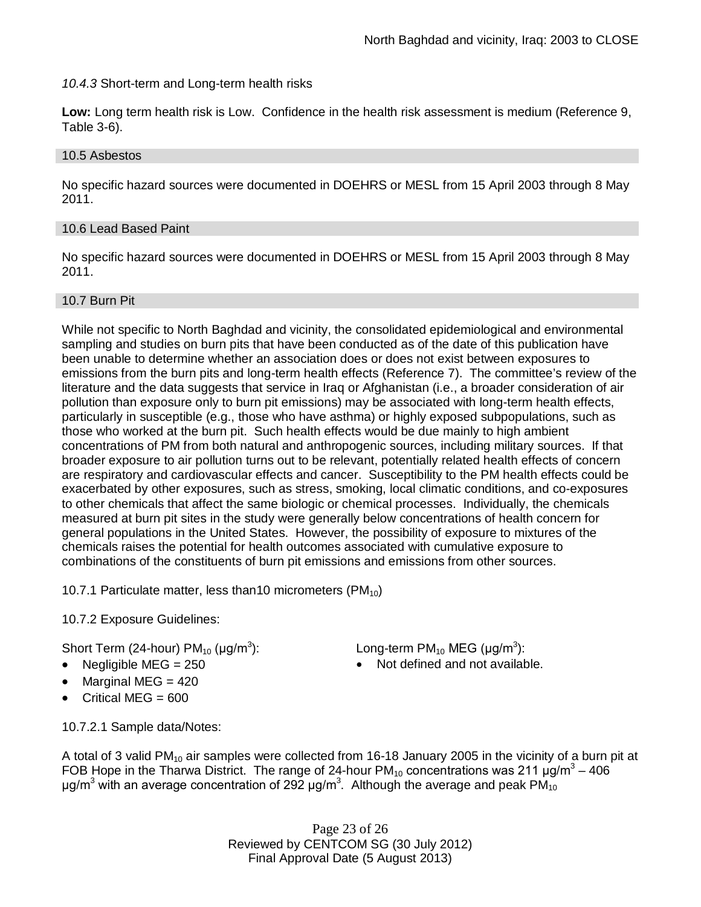### *10.4.3* Short-term and Long-term health risks

**Low:** Long term health risk is Low. Confidence in the health risk assessment is medium (Reference 9, Table 3-6).

### 10.5 Asbestos

No specific hazard sources were documented in DOEHRS or MESL from 15 April 2003 through 8 May 2011.

### 10.6 Lead Based Paint

No specific hazard sources were documented in DOEHRS or MESL from 15 April 2003 through 8 May 2011.

### 10.7 Burn Pit

While not specific to North Baghdad and vicinity, the consolidated epidemiological and environmental sampling and studies on burn pits that have been conducted as of the date of this publication have been unable to determine whether an association does or does not exist between exposures to emissions from the burn pits and long-term health effects (Reference 7). The committee's review of the literature and the data suggests that service in Iraq or Afghanistan (i.e., a broader consideration of air pollution than exposure only to burn pit emissions) may be associated with long-term health effects, particularly in susceptible (e.g., those who have asthma) or highly exposed subpopulations, such as those who worked at the burn pit. Such health effects would be due mainly to high ambient concentrations of PM from both natural and anthropogenic sources, including military sources. If that broader exposure to air pollution turns out to be relevant, potentially related health effects of concern are respiratory and cardiovascular effects and cancer. Susceptibility to the PM health effects could be exacerbated by other exposures, such as stress, smoking, local climatic conditions, and co-exposures to other chemicals that affect the same biologic or chemical processes. Individually, the chemicals measured at burn pit sites in the study were generally below concentrations of health concern for general populations in the United States. However, the possibility of exposure to mixtures of the chemicals raises the potential for health outcomes associated with cumulative exposure to combinations of the constituents of burn pit emissions and emissions from other sources.

10.7.1 Particulate matter, less than 10 micrometers (PM $_{10}$ )

10.7.2 Exposure Guidelines:

Short Term (24-hour) PM $_{10}$  (µg/m $^3$ 

- 
- Marginal MEG  $= 420$
- Critical MEG = 600

10.7.2.1 Sample data/Notes:

): Long-term PM<sub>10</sub> MEG ( $\mu$ g/m<sup>3</sup>):

Negligible  $MEG = 250$  Not defined and not available.

A total of 3 valid PM<sub>10</sub> air samples were collected from 16-18 January 2005 in the vicinity of a burn pit at FOB Hope in the Tharwa District. The range of 24-hour PM<sub>10</sub> concentrations was 211  $\mu$ g/m<sup>3</sup> – 406 μg/m<sup>3</sup> with an average concentration of 292 μg/m<sup>3</sup>. Although the average and peak PM<sub>10</sub>

> Page 23 of 26 Reviewed by CENTCOM SG (30 July 2012) Final Approval Date (5 August 2013)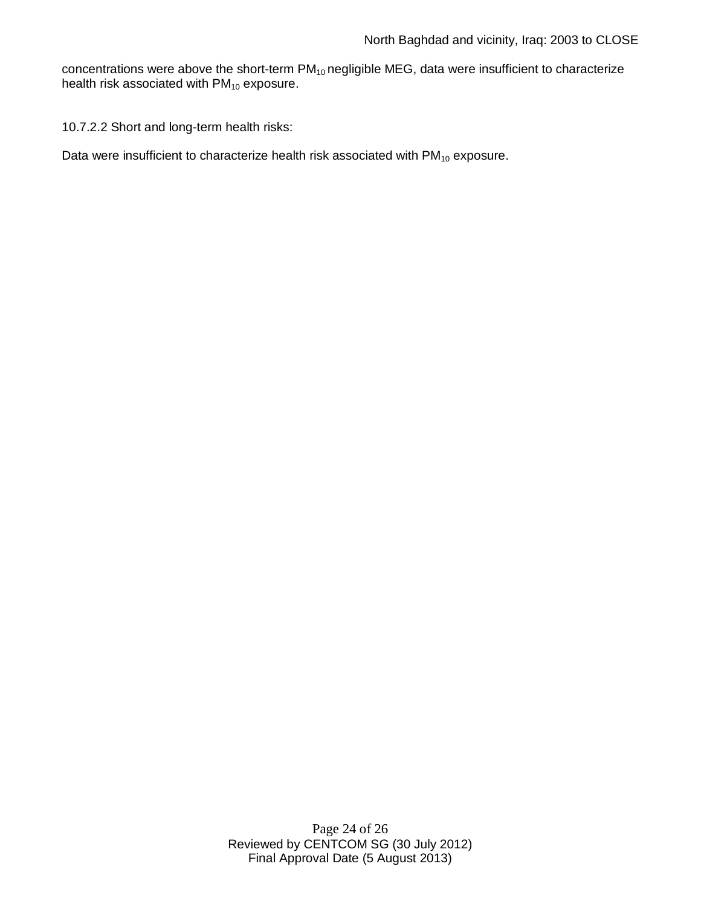concentrations were above the short-term  $PM_{10}$  negligible MEG, data were insufficient to characterize health risk associated with  $PM_{10}$  exposure.

10.7.2.2 Short and long-term health risks:

Data were insufficient to characterize health risk associated with  $PM_{10}$  exposure.

Page 24 of 26 Reviewed by CENTCOM SG (30 July 2012) Final Approval Date (5 August 2013)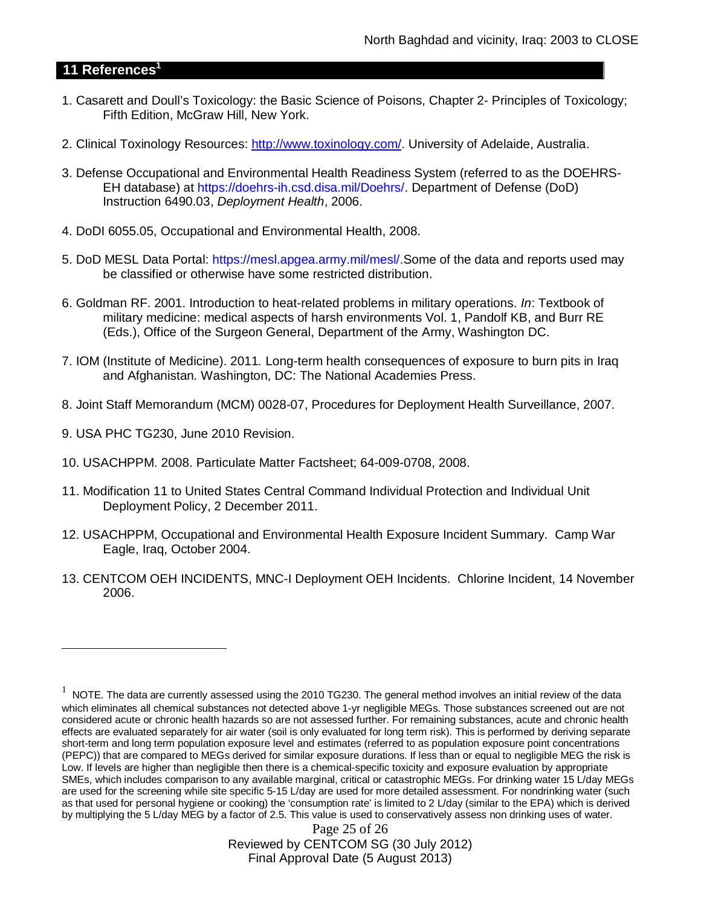# **11 References<sup>1</sup>**

- 1. Casarett and Doull's Toxicology: the Basic Science of Poisons, Chapter 2- Principles of Toxicology; Fifth Edition, McGraw Hill, New York.
- 2. Clinical Toxinology Resources: http://www.toxinology.com/. University of Adelaide, Australia.
- 3. Defense Occupational and Environmental Health Readiness System (referred to as the DOEHRS-EH database) at https://doehrs-ih.csd.disa.mil/Doehrs/. Department of Defense (DoD) Instruction 6490.03, *Deployment Health*, 2006.
- 4. DoDI 6055.05, Occupational and Environmental Health, 2008.
- 5. DoD MESL Data Portal: https://mesl.apgea.army.mil/mesl/.Some of the data and reports used may be classified or otherwise have some restricted distribution.
- 6. Goldman RF. 2001. Introduction to heat-related problems in military operations. *In*: Textbook of military medicine: medical aspects of harsh environments Vol. 1, Pandolf KB, and Burr RE (Eds.), Office of the Surgeon General, Department of the Army, Washington DC.
- 7. IOM (Institute of Medicine). 2011*.* Long-term health consequences of exposure to burn pits in Iraq and Afghanistan*.* Washington, DC: The National Academies Press.
- 8. Joint Staff Memorandum (MCM) 0028-07, Procedures for Deployment Health Surveillance, 2007.
- 9. USA PHC TG230, June 2010 Revision.
- 10. USACHPPM. 2008. Particulate Matter Factsheet; 64-009-0708, 2008.
- 11. Modification 11 to United States Central Command Individual Protection and Individual Unit Deployment Policy, 2 December 2011.
- 12. USACHPPM, Occupational and Environmental Health Exposure Incident Summary. Camp War Eagle, Iraq, October 2004.
- 13. CENTCOM OEH INCIDENTS, MNC-I Deployment OEH Incidents. Chlorine Incident, 14 November 2006.

Page 25 of 26 Reviewed by CENTCOM SG (30 July 2012) Final Approval Date (5 August 2013)

<sup>1</sup> NOTE. The data are currently assessed using the 2010 TG230. The general method involves an initial review of the data which eliminates all chemical substances not detected above 1-yr negligible MEGs. Those substances screened out are not considered acute or chronic health hazards so are not assessed further. For remaining substances, acute and chronic health effects are evaluated separately for air water (soil is only evaluated for long term risk). This is performed by deriving separate short-term and long term population exposure level and estimates (referred to as population exposure point concentrations (PEPC)) that are compared to MEGs derived for similar exposure durations. If less than or equal to negligible MEG the risk is Low. If levels are higher than negligible then there is a chemical-specific toxicity and exposure evaluation by appropriate SMEs, which includes comparison to any available marginal, critical or catastrophic MEGs. For drinking water 15 L/day MEGs are used for the screening while site specific 5-15 L/day are used for more detailed assessment. For nondrinking water (such as that used for personal hygiene or cooking) the 'consumption rate' is limited to 2 L/day (similar to the EPA) which is derived by multiplying the 5 L/day MEG by a factor of 2.5. This value is used to conservatively assess non drinking uses of water.